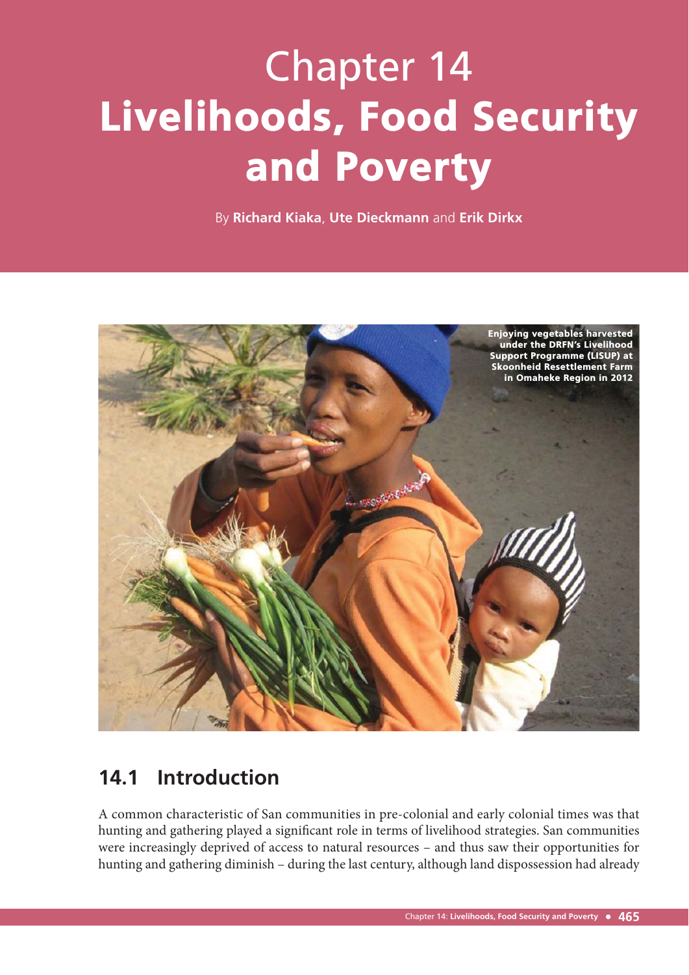# Chapter 14 Livelihoods, Food Security and Poverty

By **Richard Kiaka**, **Ute Dieckmann** and **Erik Dirkx**



# **14.1 Introduction**

A common characteristic of San communities in pre-colonial and early colonial times was that hunting and gathering played a significant role in terms of livelihood strategies. San communities were increasingly deprived of access to natural resources – and thus saw their opportunities for hunting and gathering diminish – during the last century, although land dispossession had already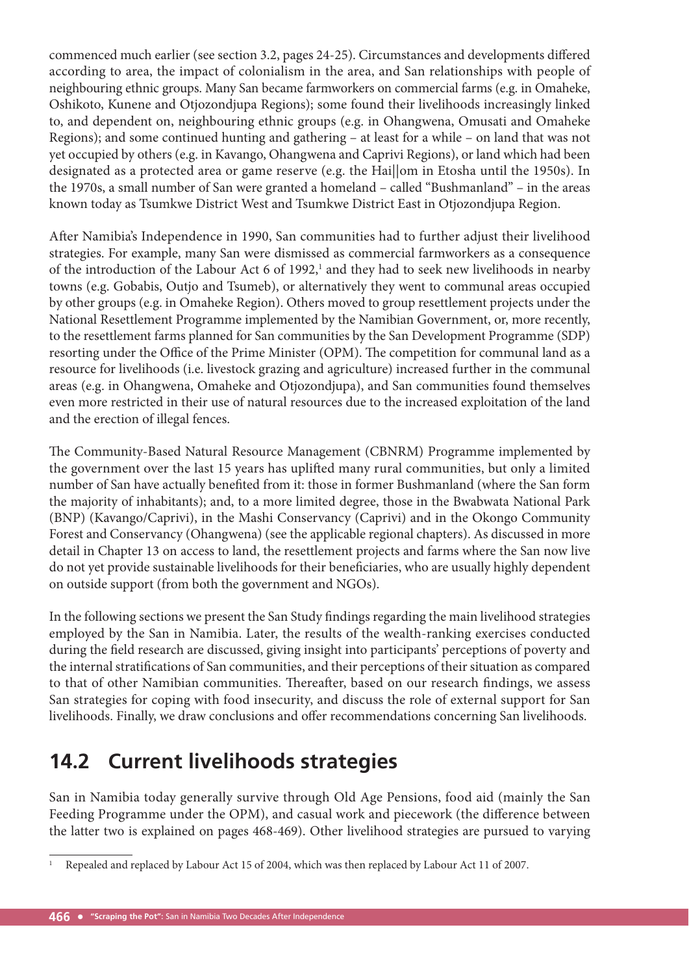commenced much earlier (see section 3.2, pages 24-25). Circumstances and developments differed according to area, the impact of colonialism in the area, and San relationships with people of neighbouring ethnic groups. Many San became farmworkers on commercial farms (e.g. in Omaheke, Oshikoto, Kunene and Otjozondjupa Regions); some found their livelihoods increasingly linked to, and dependent on, neighbouring ethnic groups (e.g. in Ohangwena, Omusati and Omaheke Regions); and some continued hunting and gathering – at least for a while – on land that was not yet occupied by others (e.g. in Kavango, Ohangwena and Caprivi Regions), or land which had been designated as a protected area or game reserve (e.g. the Hai||om in Etosha until the 1950s). In the 1970s, a small number of San were granted a homeland – called "Bushmanland" – in the areas known today as Tsumkwe District West and Tsumkwe District East in Otjozondjupa Region.

After Namibia's Independence in 1990, San communities had to further adjust their livelihood strategies. For example, many San were dismissed as commercial farmworkers as a consequence of the introduction of the Labour Act  $6$  of 1992,<sup>1</sup> and they had to seek new livelihoods in nearby towns (e.g. Gobabis, Outjo and Tsumeb), or alternatively they went to communal areas occupied by other groups (e.g. in Omaheke Region). Others moved to group resettlement projects under the National Resettlement Programme implemented by the Namibian Government, or, more recently, to the resettlement farms planned for San communities by the San Development Programme (SDP) resorting under the Office of the Prime Minister (OPM). The competition for communal land as a resource for livelihoods (i.e. livestock grazing and agriculture) increased further in the communal areas (e.g. in Ohangwena, Omaheke and Otjozondjupa), and San communities found themselves even more restricted in their use of natural resources due to the increased exploitation of the land and the erection of illegal fences.

The Community-Based Natural Resource Management (CBNRM) Programme implemented by the government over the last 15 years has uplifted many rural communities, but only a limited number of San have actually benefited from it: those in former Bushmanland (where the San form the majority of inhabitants); and, to a more limited degree, those in the Bwabwata National Park (BNP) (Kavango/Caprivi), in the Mashi Conservancy (Caprivi) and in the Okongo Community Forest and Conservancy (Ohangwena) (see the applicable regional chapters). As discussed in more detail in Chapter 13 on access to land, the resettlement projects and farms where the San now live do not yet provide sustainable livelihoods for their beneficiaries, who are usually highly dependent on outside support (from both the government and NGOs).

In the following sections we present the San Study findings regarding the main livelihood strategies employed by the San in Namibia. Later, the results of the wealth-ranking exercises conducted during the field research are discussed, giving insight into participants' perceptions of poverty and the internal stratifications of San communities, and their perceptions of their situation as compared to that of other Namibian communities. Thereafter, based on our research findings, we assess San strategies for coping with food insecurity, and discuss the role of external support for San livelihoods. Finally, we draw conclusions and offer recommendations concerning San livelihoods.

# **14.2 Current livelihoods strategies**

San in Namibia today generally survive through Old Age Pensions, food aid (mainly the San Feeding Programme under the OPM), and casual work and piecework (the difference between the latter two is explained on pages 468-469). Other livelihood strategies are pursued to varying

<sup>1</sup> Repealed and replaced by Labour Act 15 of 2004, which was then replaced by Labour Act 11 of 2007.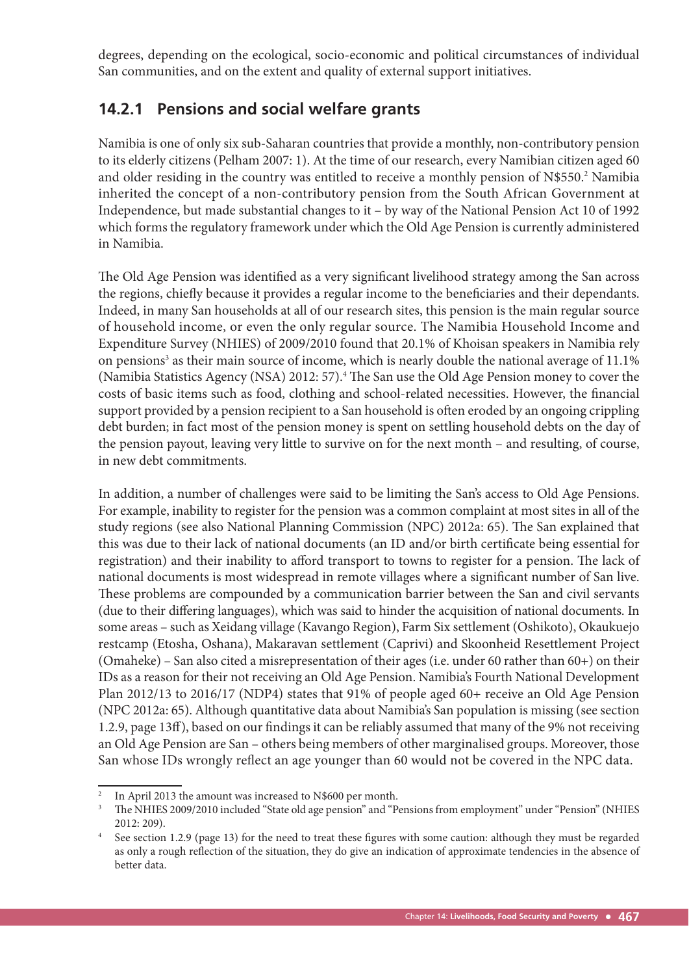degrees, depending on the ecological, socio-economic and political circumstances of individual San communities, and on the extent and quality of external support initiatives.

## **14.2.1 Pensions and social welfare grants**

Namibia is one of only six sub-Saharan countries that provide a monthly, non-contributory pension to its elderly citizens (Pelham 2007: 1). At the time of our research, every Namibian citizen aged 60 and older residing in the country was entitled to receive a monthly pension of N\$550.<sup>2</sup> Namibia inherited the concept of a non-contributory pension from the South African Government at Independence, but made substantial changes to it – by way of the National Pension Act 10 of 1992 which forms the regulatory framework under which the Old Age Pension is currently administered in Namibia.

The Old Age Pension was identified as a very significant livelihood strategy among the San across the regions, chiefly because it provides a regular income to the beneficiaries and their dependants. Indeed, in many San households at all of our research sites, this pension is the main regular source of household income, or even the only regular source. The Namibia Household Income and Expenditure Survey (NHIES) of 2009/2010 found that 20.1% of Khoisan speakers in Namibia rely on pensions<sup>3</sup> as their main source of income, which is nearly double the national average of 11.1% (Namibia Statistics Agency (NSA) 2012: 57).<sup>4</sup> The San use the Old Age Pension money to cover the costs of basic items such as food, clothing and school-related necessities. However, the financial support provided by a pension recipient to a San household is often eroded by an ongoing crippling debt burden; in fact most of the pension money is spent on settling household debts on the day of the pension payout, leaving very little to survive on for the next month – and resulting, of course, in new debt commitments.

In addition, a number of challenges were said to be limiting the San's access to Old Age Pensions. For example, inability to register for the pension was a common complaint at most sites in all of the study regions (see also National Planning Commission (NPC) 2012a: 65). The San explained that this was due to their lack of national documents (an ID and/or birth certificate being essential for registration) and their inability to afford transport to towns to register for a pension. The lack of national documents is most widespread in remote villages where a significant number of San live. These problems are compounded by a communication barrier between the San and civil servants (due to their differing languages), which was said to hinder the acquisition of national documents. In some areas – such as Xeidang village (Kavango Region), Farm Six settlement (Oshikoto), Okaukuejo restcamp (Etosha, Oshana), Makaravan settlement (Caprivi) and Skoonheid Resettlement Project (Omaheke) – San also cited a misrepresentation of their ages (i.e. under 60 rather than 60+) on their IDs as a reason for their not receiving an Old Age Pension. Namibia's Fourth National Development Plan 2012/13 to 2016/17 (NDP4) states that 91% of people aged 60+ receive an Old Age Pension (NPC 2012a: 65). Although quantitative data about Namibia's San population is missing (see section 1.2.9, page 13ff), based on our findings it can be reliably assumed that many of the 9% not receiving an Old Age Pension are San – others being members of other marginalised groups. Moreover, those San whose IDs wrongly reflect an age younger than 60 would not be covered in the NPC data.

<sup>&</sup>lt;sup>2</sup> In April 2013 the amount was increased to N\$600 per month.

<sup>3</sup> The NHIES 2009/2010 included "State old age pension" and "Pensions from employment" under "Pension" (NHIES 2012: 209).

<sup>&</sup>lt;sup>4</sup> See section 1.2.9 (page 13) for the need to treat these figures with some caution: although they must be regarded as only a rough reflection of the situation, they do give an indication of approximate tendencies in the absence of better data.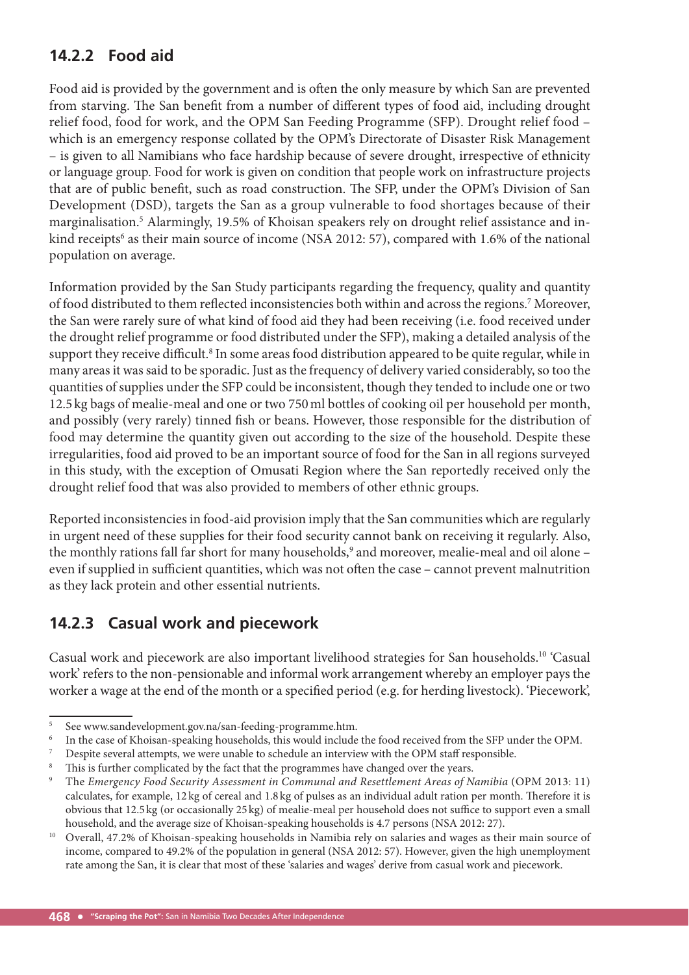## **14.2.2 Food aid**

Food aid is provided by the government and is often the only measure by which San are prevented from starving. The San benefit from a number of different types of food aid, including drought relief food, food for work, and the OPM San Feeding Programme (SFP). Drought relief food – which is an emergency response collated by the OPM's Directorate of Disaster Risk Management – is given to all Namibians who face hardship because of severe drought, irrespective of ethnicity or language group. Food for work is given on condition that people work on infrastructure projects that are of public benefit, such as road construction. The SFP, under the OPM's Division of San Development (DSD), targets the San as a group vulnerable to food shortages because of their marginalisation.5 Alarmingly, 19.5% of Khoisan speakers rely on drought relief assistance and inkind receipts<sup>6</sup> as their main source of income (NSA 2012: 57), compared with 1.6% of the national population on average.

Information provided by the San Study participants regarding the frequency, quality and quantity of food distributed to them reflected inconsistencies both within and across the regions.<sup>7</sup> Moreover, the San were rarely sure of what kind of food aid they had been receiving (i.e. food received under the drought relief programme or food distributed under the SFP), making a detailed analysis of the support they receive difficult.<sup>8</sup> In some areas food distribution appeared to be quite regular, while in many areas it was said to be sporadic. Just as the frequency of delivery varied considerably, so too the quantities of supplies under the SFP could be inconsistent, though they tended to include one or two 12.5 kg bags of mealie-meal and one or two 750 ml bottles of cooking oil per household per month, and possibly (very rarely) tinned fish or beans. However, those responsible for the distribution of food may determine the quantity given out according to the size of the household. Despite these irregularities, food aid proved to be an important source of food for the San in all regions surveyed in this study, with the exception of Omusati Region where the San reportedly received only the drought relief food that was also provided to members of other ethnic groups.

Reported inconsistencies in food-aid provision imply that the San communities which are regularly in urgent need of these supplies for their food security cannot bank on receiving it regularly. Also, the monthly rations fall far short for many households,<sup>9</sup> and moreover, mealie-meal and oil alone – even if supplied in sufficient quantities, which was not often the case – cannot prevent malnutrition as they lack protein and other essential nutrients.

## **14.2.3 Casual work and piecework**

Casual work and piecework are also important livelihood strategies for San households.10 'Casual work' refers to the non-pensionable and informal work arrangement whereby an employer pays the worker a wage at the end of the month or a specified period (e.g. for herding livestock). 'Piecework',

<sup>5</sup> See www.sandevelopment.gov.na/san-feeding-programme.htm.

<sup>6</sup> In the case of Khoisan-speaking households, this would include the food received from the SFP under the OPM.

<sup>7</sup> Despite several attempts, we were unable to schedule an interview with the OPM staff responsible. 8

This is further complicated by the fact that the programmes have changed over the years.

<sup>9</sup> The *Emergency Food Security Assessment in Communal and Resettlement Areas of Namibia* (OPM 2013: 11) calculates, for example,  $12 \text{ kg}$  of cereal and  $1.8 \text{ kg}$  of pulses as an individual adult ration per month. Therefore it is obvious that 12.5 kg (or occasionally 25 kg) of mealie-meal per household does not suffice to support even a small household, and the average size of Khoisan-speaking households is 4.7 persons (NSA 2012: 27).

<sup>&</sup>lt;sup>10</sup> Overall, 47.2% of Khoisan-speaking households in Namibia rely on salaries and wages as their main source of income, compared to 49.2% of the population in general (NSA 2012: 57). However, given the high unemployment rate among the San, it is clear that most of these 'salaries and wages' derive from casual work and piecework.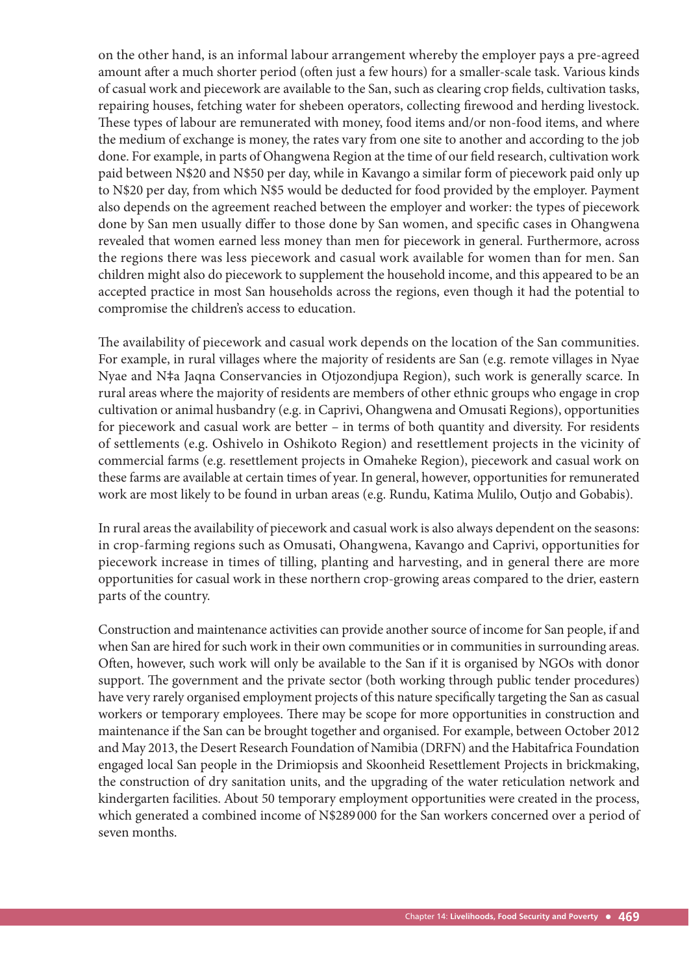on the other hand, is an informal labour arrangement whereby the employer pays a pre-agreed amount after a much shorter period (often just a few hours) for a smaller-scale task. Various kinds of casual work and piecework are available to the San, such as clearing crop fields, cultivation tasks, repairing houses, fetching water for shebeen operators, collecting firewood and herding livestock. These types of labour are remunerated with money, food items and/or non-food items, and where the medium of exchange is money, the rates vary from one site to another and according to the job done. For example, in parts of Ohangwena Region at the time of our field research, cultivation work paid between N\$20 and N\$50 per day, while in Kavango a similar form of piecework paid only up to N\$20 per day, from which N\$5 would be deducted for food provided by the employer. Payment also depends on the agreement reached between the employer and worker: the types of piecework done by San men usually differ to those done by San women, and specific cases in Ohangwena revealed that women earned less money than men for piecework in general. Furthermore, across the regions there was less piecework and casual work available for women than for men. San children might also do piecework to supplement the household income, and this appeared to be an accepted practice in most San households across the regions, even though it had the potential to compromise the children's access to education.

The availability of piecework and casual work depends on the location of the San communities. For example, in rural villages where the majority of residents are San (e.g. remote villages in Nyae Nyae and N‡a Jaqna Conservancies in Otjozondjupa Region), such work is generally scarce. In rural areas where the majority of residents are members of other ethnic groups who engage in crop cultivation or animal husbandry (e.g. in Caprivi, Ohangwena and Omusati Regions), opportunities for piecework and casual work are better – in terms of both quantity and diversity. For residents of settlements (e.g. Oshivelo in Oshikoto Region) and resettlement projects in the vicinity of commercial farms (e.g. resettlement projects in Omaheke Region), piecework and casual work on these farms are available at certain times of year. In general, however, opportunities for remunerated work are most likely to be found in urban areas (e.g. Rundu, Katima Mulilo, Outjo and Gobabis).

In rural areas the availability of piecework and casual work is also always dependent on the seasons: in crop-farming regions such as Omusati, Ohangwena, Kavango and Caprivi, opportunities for piecework increase in times of tilling, planting and harvesting, and in general there are more opportunities for casual work in these northern crop-growing areas compared to the drier, eastern parts of the country.

Construction and maintenance activities can provide another source of income for San people, if and when San are hired for such work in their own communities or in communities in surrounding areas. Often, however, such work will only be available to the San if it is organised by NGOs with donor support. The government and the private sector (both working through public tender procedures) have very rarely organised employment projects of this nature specifically targeting the San as casual workers or temporary employees. There may be scope for more opportunities in construction and maintenance if the San can be brought together and organised. For example, between October 2012 and May 2013, the Desert Research Foundation of Namibia (DRFN) and the Habitafrica Foundation engaged local San people in the Drimiopsis and Skoonheid Resettlement Projects in brickmaking, the construction of dry sanitation units, and the upgrading of the water reticulation network and kindergarten facilities. About 50 temporary employment opportunities were created in the process, which generated a combined income of N\$289 000 for the San workers concerned over a period of seven months.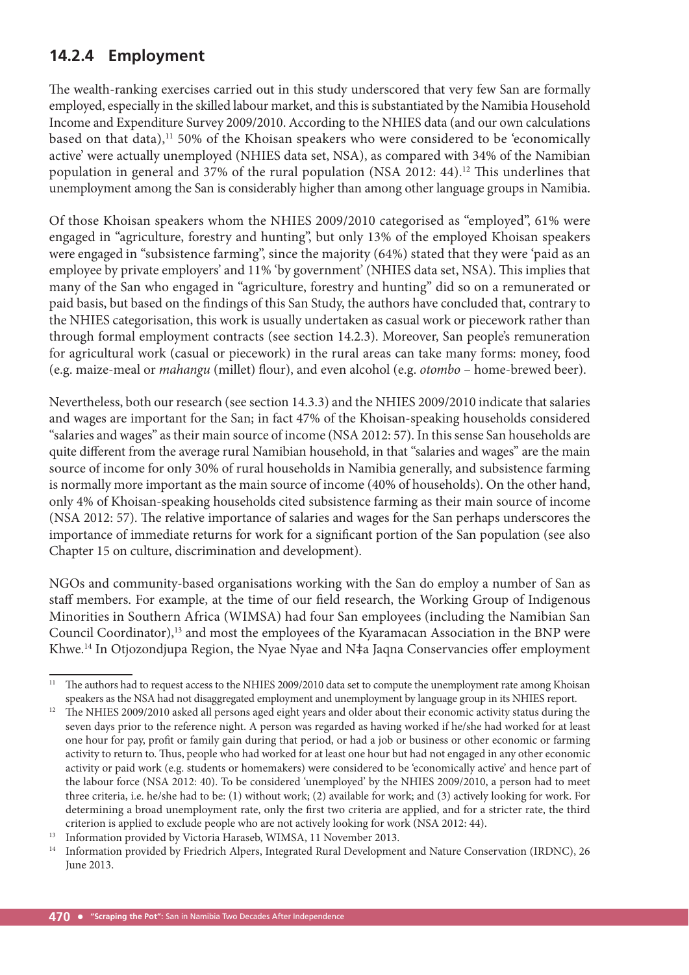## **14.2.4 Employment**

The wealth-ranking exercises carried out in this study underscored that very few San are formally employed, especially in the skilled labour market, and this is substantiated by the Namibia Household Income and Expenditure Survey 2009/2010. According to the NHIES data (and our own calculations based on that data),<sup>11</sup> 50% of the Khoisan speakers who were considered to be 'economically active' were actually unemployed (NHIES data set, NSA), as compared with 34% of the Namibian population in general and 37% of the rural population (NSA 2012: 44).<sup>12</sup> This underlines that unemployment among the San is considerably higher than among other language groups in Namibia.

Of those Khoisan speakers whom the NHIES 2009/2010 categorised as "employed", 61% were engaged in "agriculture, forestry and hunting", but only 13% of the employed Khoisan speakers were engaged in "subsistence farming", since the majority (64%) stated that they were 'paid as an employee by private employers' and 11% 'by government' (NHIES data set, NSA). This implies that many of the San who engaged in "agriculture, forestry and hunting" did so on a remunerated or paid basis, but based on the findings of this San Study, the authors have concluded that, contrary to the NHIES categorisation, this work is usually undertaken as casual work or piecework rather than through formal employment contracts (see section 14.2.3). Moreover, San people's remuneration for agricultural work (casual or piecework) in the rural areas can take many forms: money, food (e.g. maize-meal or *mahangu* (millet) flour), and even alcohol (e.g. *otombo* – home-brewed beer).

Nevertheless, both our research (see section 14.3.3) and the NHIES 2009/2010 indicate that salaries and wages are important for the San; in fact 47% of the Khoisan-speaking households considered "salaries and wages" as their main source of income (NSA 2012: 57). In this sense San households are quite different from the average rural Namibian household, in that "salaries and wages" are the main source of income for only 30% of rural households in Namibia generally, and subsistence farming is normally more important as the main source of income (40% of households). On the other hand, only 4% of Khoisan-speaking households cited subsistence farming as their main source of income (NSA 2012: 57). The relative importance of salaries and wages for the San perhaps underscores the importance of immediate returns for work for a significant portion of the San population (see also Chapter 15 on culture, discrimination and development).

NGOs and community-based organisations working with the San do employ a number of San as staff members. For example, at the time of our field research, the Working Group of Indigenous Minorities in Southern Africa (WIMSA) had four San employees (including the Namibian San Council Coordinator),<sup>13</sup> and most the employees of the Kyaramacan Association in the BNP were Khwe.<sup>14</sup> In Otjozondjupa Region, the Nyae Nyae and N‡a Jaqna Conservancies offer employment

<sup>&</sup>lt;sup>11</sup> The authors had to request access to the NHIES 2009/2010 data set to compute the unemployment rate among Khoisan speakers as the NSA had not disaggregated employment and unemployment by language group in its NHIES report.

<sup>&</sup>lt;sup>12</sup> The NHIES 2009/2010 asked all persons aged eight years and older about their economic activity status during the seven days prior to the reference night. A person was regarded as having worked if he/she had worked for at least one hour for pay, profit or family gain during that period, or had a job or business or other economic or farming activity to return to. Thus, people who had worked for at least one hour but had not engaged in any other economic activity or paid work (e.g. students or homemakers) were considered to be 'economically active' and hence part of the labour force (NSA 2012: 40). To be considered 'unemployed' by the NHIES 2009/2010, a person had to meet three criteria, i.e. he/she had to be: (1) without work; (2) available for work; and (3) actively looking for work. For determining a broad unemployment rate, only the first two criteria are applied, and for a stricter rate, the third criterion is applied to exclude people who are not actively looking for work (NSA 2012: 44).

<sup>&</sup>lt;sup>13</sup> Information provided by Victoria Haraseb, WIMSA, 11 November 2013.

<sup>&</sup>lt;sup>14</sup> Information provided by Friedrich Alpers, Integrated Rural Development and Nature Conservation (IRDNC), 26 June 2013.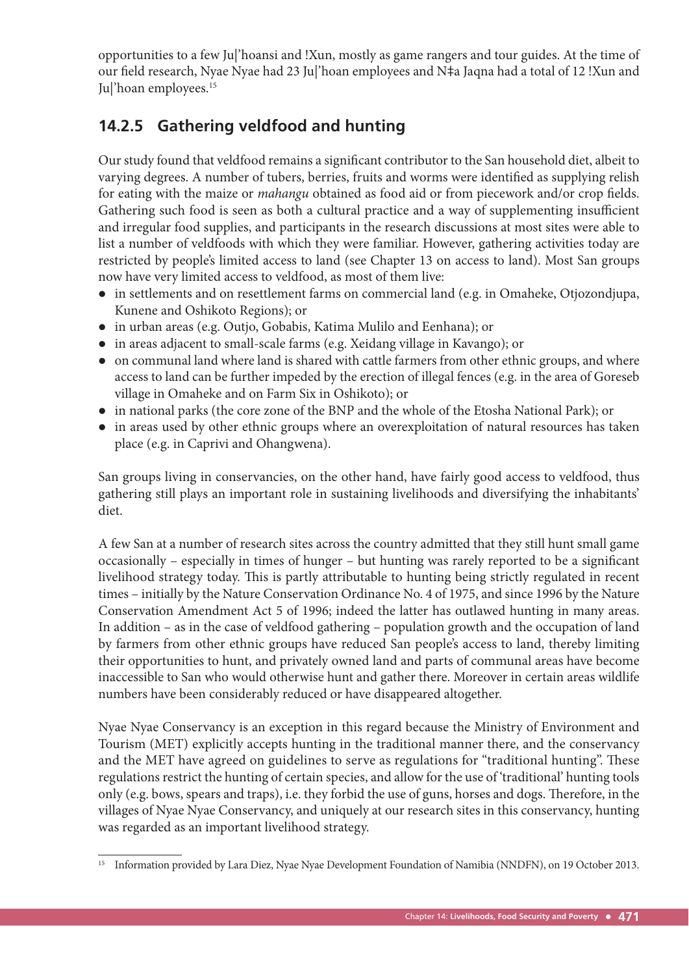opportunities to a few Ju|'hoansi and !Xun, mostly as game rangers and tour guides. At the time of our field research, Nyae Nyae had 23 Ju|'hoan employees and N‡a Jaqna had a total of 12 !Xun and Ju|'hoan employees.<sup>15</sup>

## **14.2.5 Gathering veldfood and hunting**

Our study found that veldfood remains a significant contributor to the San household diet, albeit to varying degrees. A number of tubers, berries, fruits and worms were identified as supplying relish for eating with the maize or *mahangu* obtained as food aid or from piecework and/or crop fields. Gathering such food is seen as both a cultural practice and a way of supplementing insufficient and irregular food supplies, and participants in the research discussions at most sites were able to list a number of veldfoods with which they were familiar. However, gathering activities today are restricted by people's limited access to land (see Chapter 13 on access to land). Most San groups now have very limited access to veldfood, as most of them live:

- in settlements and on resettlement farms on commercial land (e.g. in Omaheke, Otjozondjupa, Kunene and Oshikoto Regions); or
- in urban areas (e.g. Outjo, Gobabis, Katima Mulilo and Eenhana); or
- in areas adjacent to small-scale farms (e.g. Xeidang village in Kavango); or
- on communal land where land is shared with cattle farmers from other ethnic groups, and where access to land can be further impeded by the erection of illegal fences (e.g. in the area of Goreseb village in Omaheke and on Farm Six in Oshikoto); or
- in national parks (the core zone of the BNP and the whole of the Etosha National Park); or
- in areas used by other ethnic groups where an overexploitation of natural resources has taken place (e.g. in Caprivi and Ohangwena).

San groups living in conservancies, on the other hand, have fairly good access to veldfood, thus gathering still plays an important role in sustaining livelihoods and diversifying the inhabitants' diet.

A few San at a number of research sites across the country admitted that they still hunt small game occasionally – especially in times of hunger – but hunting was rarely reported to be a significant livelihood strategy today. This is partly attributable to hunting being strictly regulated in recent times – initially by the Nature Conservation Ordinance No. 4 of 1975, and since 1996 by the Nature Conservation Amendment Act 5 of 1996; indeed the latter has outlawed hunting in many areas. In addition – as in the case of veldfood gathering – population growth and the occupation of land by farmers from other ethnic groups have reduced San people's access to land, thereby limiting their opportunities to hunt, and privately owned land and parts of communal areas have become inaccessible to San who would otherwise hunt and gather there. Moreover in certain areas wildlife numbers have been considerably reduced or have disappeared altogether.

Nyae Nyae Conservancy is an exception in this regard because the Ministry of Environment and Tourism (MET) explicitly accepts hunting in the traditional manner there, and the conservancy and the MET have agreed on guidelines to serve as regulations for "traditional hunting". These regulations restrict the hunting of certain species, and allow for the use of 'traditional' hunting tools only (e.g. bows, spears and traps), i.e. they forbid the use of guns, horses and dogs. Therefore, in the villages of Nyae Nyae Conservancy, and uniquely at our research sites in this conservancy, hunting was regarded as an important livelihood strategy.

<sup>&</sup>lt;sup>15</sup> Information provided by Lara Diez, Nyae Nyae Development Foundation of Namibia (NNDFN), on 19 October 2013.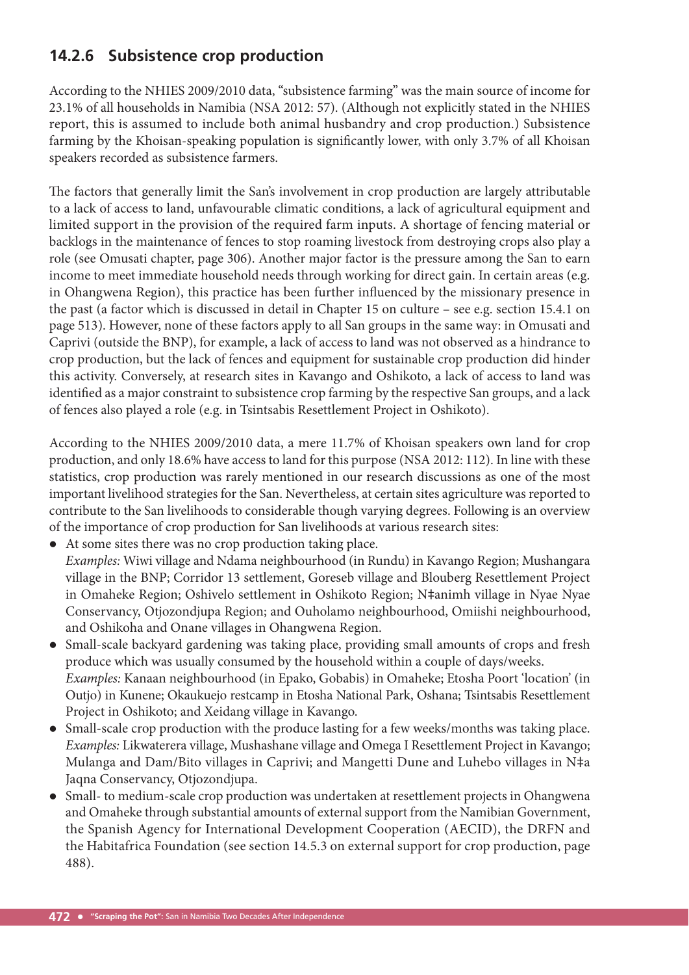## **14.2.6 Subsistence crop production**

According to the NHIES 2009/2010 data, "subsistence farming" was the main source of income for 23.1% of all households in Namibia (NSA 2012: 57). (Although not explicitly stated in the NHIES report, this is assumed to include both animal husbandry and crop production.) Subsistence farming by the Khoisan-speaking population is significantly lower, with only 3.7% of all Khoisan speakers recorded as subsistence farmers.

The factors that generally limit the San's involvement in crop production are largely attributable to a lack of access to land, unfavourable climatic conditions, a lack of agricultural equipment and limited support in the provision of the required farm inputs. A shortage of fencing material or backlogs in the maintenance of fences to stop roaming livestock from destroying crops also play a role (see Omusati chapter, page 306). Another major factor is the pressure among the San to earn income to meet immediate household needs through working for direct gain. In certain areas (e.g. in Ohangwena Region), this practice has been further influenced by the missionary presence in the past (a factor which is discussed in detail in Chapter 15 on culture – see e.g. section 15.4.1 on page 513). However, none of these factors apply to all San groups in the same way: in Omusati and Caprivi (outside the BNP), for example, a lack of access to land was not observed as a hindrance to crop production, but the lack of fences and equipment for sustainable crop production did hinder this activity. Conversely, at research sites in Kavango and Oshikoto, a lack of access to land was identified as a major constraint to subsistence crop farming by the respective San groups, and a lack of fences also played a role (e.g. in Tsintsabis Resettlement Project in Oshikoto).

According to the NHIES 2009/2010 data, a mere 11.7% of Khoisan speakers own land for crop production, and only 18.6% have access to land for this purpose (NSA 2012: 112). In line with these statistics, crop production was rarely mentioned in our research discussions as one of the most important livelihood strategies for the San. Nevertheless, at certain sites agriculture was reported to contribute to the San livelihoods to considerable though varying degrees. Following is an overview of the importance of crop production for San livelihoods at various research sites:

- At some sites there was no crop production taking place. *Examples:* Wiwi village and Ndama neighbourhood (in Rundu) in Kavango Region; Mushangara village in the BNP; Corridor 13 settlement, Goreseb village and Blouberg Resettlement Project in Omaheke Region; Oshivelo settlement in Oshikoto Region; N‡animh village in Nyae Nyae Conservancy, Otjozondjupa Region; and Ouholamo neighbourhood, Omiishi neighbourhood, and Oshikoha and Onane villages in Ohangwena Region.
- Small-scale backyard gardening was taking place, providing small amounts of crops and fresh produce which was usually consumed by the household within a couple of days/weeks. *Examples:* Kanaan neighbourhood (in Epako, Gobabis) in Omaheke; Etosha Poort 'location' (in Outjo) in Kunene; Okaukuejo restcamp in Etosha National Park, Oshana; Tsintsabis Resettlement Project in Oshikoto; and Xeidang village in Kavango.
- Small-scale crop production with the produce lasting for a few weeks/months was taking place. *Examples:* Likwaterera village, Mushashane village and Omega I Resettlement Project in Kavango; Mulanga and Dam/Bito villages in Caprivi; and Mangetti Dune and Luhebo villages in N‡a Jaqna Conservancy, Otjozondjupa.
- Small- to medium-scale crop production was undertaken at resettlement projects in Ohangwena and Omaheke through substantial amounts of external support from the Namibian Government, the Spanish Agency for International Development Cooperation (AECID), the DRFN and the Habitafrica Foundation (see section 14.5.3 on external support for crop production, page 488).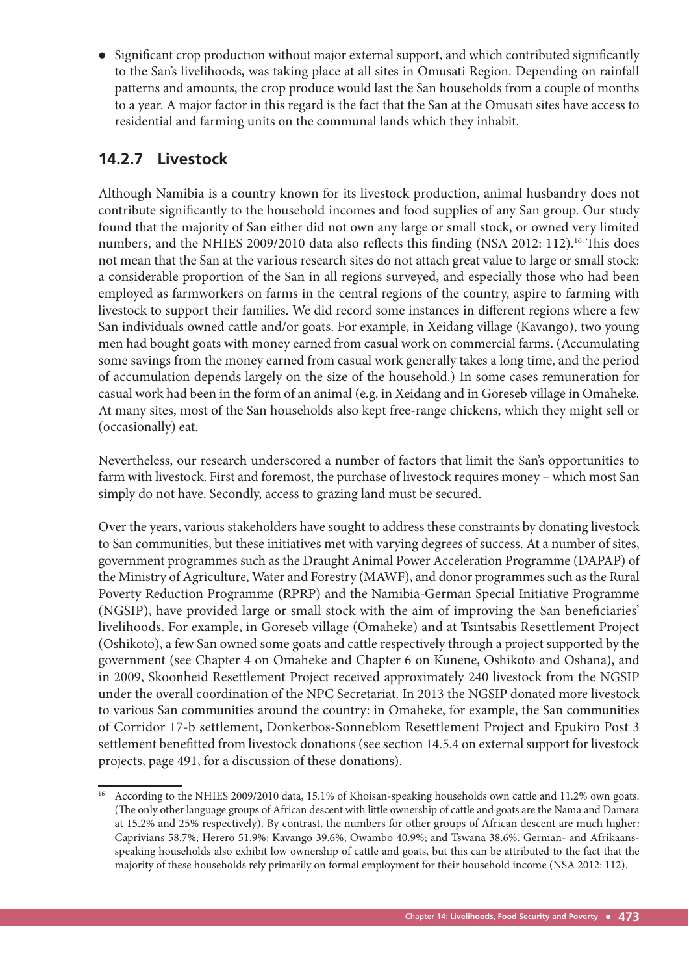Significant crop production without major external support, and which contributed significantly to the San's livelihoods, was taking place at all sites in Omusati Region. Depending on rainfall patterns and amounts, the crop produce would last the San households from a couple of months to a year. A major factor in this regard is the fact that the San at the Omusati sites have access to residential and farming units on the communal lands which they inhabit.

## **14.2.7 Livestock**

Although Namibia is a country known for its livestock production, animal husbandry does not contribute significantly to the household incomes and food supplies of any San group. Our study found that the majority of San either did not own any large or small stock, or owned very limited numbers, and the NHIES 2009/2010 data also reflects this finding (NSA 2012: 112).<sup>16</sup> This does not mean that the San at the various research sites do not attach great value to large or small stock: a considerable proportion of the San in all regions surveyed, and especially those who had been employed as farmworkers on farms in the central regions of the country, aspire to farming with livestock to support their families. We did record some instances in different regions where a few San individuals owned cattle and/or goats. For example, in Xeidang village (Kavango), two young men had bought goats with money earned from casual work on commercial farms. (Accumulating some savings from the money earned from casual work generally takes a long time, and the period of accumulation depends largely on the size of the household.) In some cases remuneration for casual work had been in the form of an animal (e.g. in Xeidang and in Goreseb village in Omaheke. At many sites, most of the San households also kept free-range chickens, which they might sell or (occasionally) eat.

Nevertheless, our research underscored a number of factors that limit the San's opportunities to farm with livestock. First and foremost, the purchase of livestock requires money – which most San simply do not have. Secondly, access to grazing land must be secured.

Over the years, various stakeholders have sought to address these constraints by donating livestock to San communities, but these initiatives met with varying degrees of success. At a number of sites, government programmes such as the Draught Animal Power Acceleration Programme (DAPAP) of the Ministry of Agriculture, Water and Forestry (MAWF), and donor programmes such as the Rural Poverty Reduction Programme (RPRP) and the Namibia-German Special Initiative Programme (NGSIP), have provided large or small stock with the aim of improving the San beneficiaries' livelihoods. For example, in Goreseb village (Omaheke) and at Tsintsabis Resettlement Project (Oshikoto), a few San owned some goats and cattle respectively through a project supported by the government (see Chapter 4 on Omaheke and Chapter 6 on Kunene, Oshikoto and Oshana), and in 2009, Skoonheid Resettlement Project received approximately 240 livestock from the NGSIP under the overall coordination of the NPC Secretariat. In 2013 the NGSIP donated more livestock to various San communities around the country: in Omaheke, for example, the San communities of Corridor 17-b settlement, Donkerbos-Sonneblom Resettlement Project and Epukiro Post 3 settlement benefitted from livestock donations (see section 14.5.4 on external support for livestock projects, page 491, for a discussion of these donations).

<sup>16</sup> According to the NHIES 2009/2010 data, 15.1% of Khoisan-speaking households own cattle and 11.2% own goats. (The only other language groups of African descent with little ownership of cattle and goats are the Nama and Damara at 15.2% and 25% respectively). By contrast, the numbers for other groups of African descent are much higher: Caprivians 58.7%; Herero 51.9%; Kavango 39.6%; Owambo 40.9%; and Tswana 38.6%. German- and Afrikaansspeaking households also exhibit low ownership of cattle and goats, but this can be attributed to the fact that the majority of these households rely primarily on formal employment for their household income (NSA 2012: 112).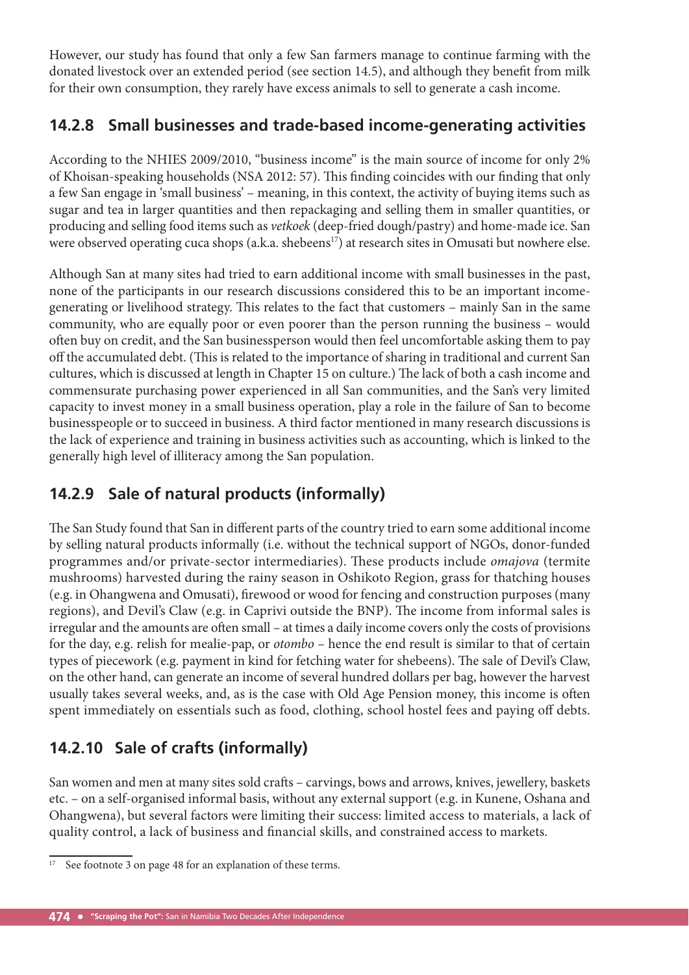However, our study has found that only a few San farmers manage to continue farming with the donated livestock over an extended period (see section 14.5), and although they benefit from milk for their own consumption, they rarely have excess animals to sell to generate a cash income.

## **14.2.8 Small businesses and trade-based income-generating activities**

According to the NHIES 2009/2010, "business income" is the main source of income for only 2% of Khoisan-speaking households (NSA 2012: 57). This finding coincides with our finding that only a few San engage in 'small business' – meaning, in this context, the activity of buying items such as sugar and tea in larger quantities and then repackaging and selling them in smaller quantities, or producing and selling food items such as *vetkoek* (deep-fried dough/pastry) and home-made ice. San were observed operating cuca shops (a.k.a. shebeens<sup>17</sup>) at research sites in Omusati but nowhere else.

Although San at many sites had tried to earn additional income with small businesses in the past, none of the participants in our research discussions considered this to be an important incomegenerating or livelihood strategy. This relates to the fact that customers – mainly San in the same community, who are equally poor or even poorer than the person running the business – would often buy on credit, and the San businessperson would then feel uncomfortable asking them to pay off the accumulated debt. (This is related to the importance of sharing in traditional and current San cultures, which is discussed at length in Chapter 15 on culture.) The lack of both a cash income and commensurate purchasing power experienced in all San communities, and the San's very limited capacity to invest money in a small business operation, play a role in the failure of San to become businesspeople or to succeed in business. A third factor mentioned in many research discussions is the lack of experience and training in business activities such as accounting, which is linked to the generally high level of illiteracy among the San population.

## **14.2.9 Sale of natural products (informally)**

The San Study found that San in different parts of the country tried to earn some additional income by selling natural products informally (i.e. without the technical support of NGOs, donor-funded programmes and/or private-sector intermediaries). These products include *omajova* (termite mushrooms) harvested during the rainy season in Oshikoto Region, grass for thatching houses (e.g. in Ohangwena and Omusati), firewood or wood for fencing and construction purposes (many regions), and Devil's Claw (e.g. in Caprivi outside the BNP). The income from informal sales is irregular and the amounts are often small – at times a daily income covers only the costs of provisions for the day, e.g. relish for mealie-pap, or *otombo* – hence the end result is similar to that of certain types of piecework (e.g. payment in kind for fetching water for shebeens). The sale of Devil's Claw, on the other hand, can generate an income of several hundred dollars per bag, however the harvest usually takes several weeks, and, as is the case with Old Age Pension money, this income is often spent immediately on essentials such as food, clothing, school hostel fees and paying off debts.

## **14.2.10 Sale of crafts (informally)**

San women and men at many sites sold crafts – carvings, bows and arrows, knives, jewellery, baskets etc. – on a self-organised informal basis, without any external support (e.g. in Kunene, Oshana and Ohangwena), but several factors were limiting their success: limited access to materials, a lack of quality control, a lack of business and financial skills, and constrained access to markets.

 $17$  See footnote 3 on page 48 for an explanation of these terms.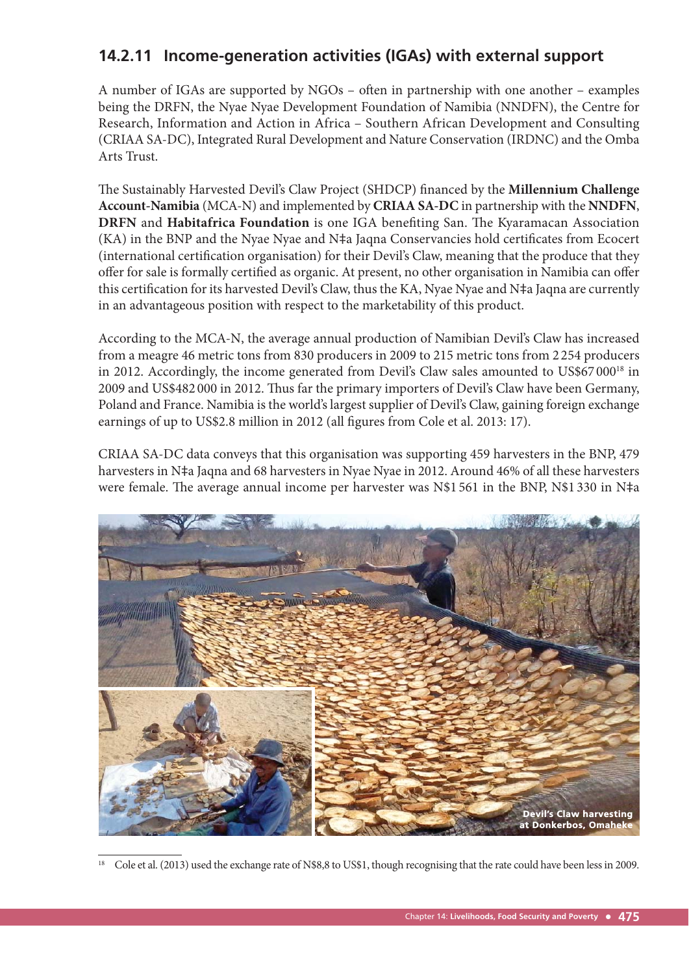## **14.2.11 Income-generation activities (IGAs) with external support**

A number of IGAs are supported by NGOs – often in partnership with one another – examples being the DRFN, the Nyae Nyae Development Foundation of Namibia (NNDFN), the Centre for Research, Information and Action in Africa – Southern African Development and Consulting (CRIAA SA-DC), Integrated Rural Development and Nature Conservation (IRDNC) and the Omba Arts Trust.

The Sustainably Harvested Devil's Claw Project (SHDCP) financed by the **Millennium Challenge Account-Namibia** (MCA-N) and implemented by **CRIAA SA-DC** in partnership with the **NNDFN**, **DRFN** and **Habitafrica Foundation** is one IGA benefiting San. The Kyaramacan Association (KA) in the BNP and the Nyae Nyae and N‡a Jaqna Conservancies hold certificates from Ecocert (international certification organisation) for their Devil's Claw, meaning that the produce that they offer for sale is formally certified as organic. At present, no other organisation in Namibia can offer this certification for its harvested Devil's Claw, thus the KA, Nyae Nyae and N‡a Jaqna are currently in an advantageous position with respect to the marketability of this product.

According to the MCA-N, the average annual production of Namibian Devil's Claw has increased from a meagre 46 metric tons from 830 producers in 2009 to 215 metric tons from 2 254 producers in 2012. Accordingly, the income generated from Devil's Claw sales amounted to US\$67000<sup>18</sup> in 2009 and US\$482 000 in 2012. Thus far the primary importers of Devil's Claw have been Germany, Poland and France. Namibia is the world's largest supplier of Devil's Claw, gaining foreign exchange earnings of up to US\$2.8 million in 2012 (all figures from Cole et al. 2013: 17).

CRIAA SA-DC data conveys that this organisation was supporting 459 harvesters in the BNP, 479 harvesters in N‡a Jaqna and 68 harvesters in Nyae Nyae in 2012. Around 46% of all these harvesters were female. The average annual income per harvester was N\$1 561 in the BNP, N\$1 330 in N‡a



<sup>18</sup> Cole et al. (2013) used the exchange rate of N\$8,8 to US\$1, though recognising that the rate could have been less in 2009.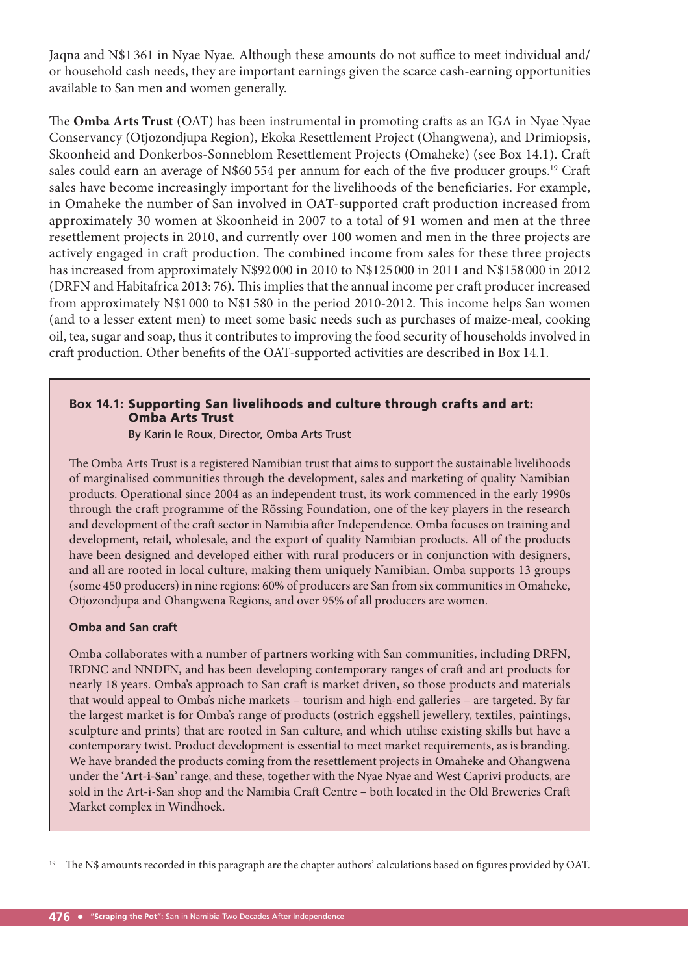Jaqna and N\$1 361 in Nyae Nyae. Although these amounts do not suffice to meet individual and/ or household cash needs, they are important earnings given the scarce cash-earning opportunities available to San men and women generally.

The **Omba Arts Trust** (OAT) has been instrumental in promoting crafts as an IGA in Nyae Nyae Conservancy (Otjozondjupa Region), Ekoka Resettlement Project (Ohangwena), and Drimiopsis, Skoonheid and Donkerbos-Sonneblom Resettlement Projects (Omaheke) (see Box 14.1). Craft sales could earn an average of N\$60 554 per annum for each of the five producer groups.<sup>19</sup> Craft sales have become increasingly important for the livelihoods of the beneficiaries. For example, in Omaheke the number of San involved in OAT-supported craft production increased from approximately 30 women at Skoonheid in 2007 to a total of 91 women and men at the three resettlement projects in 2010, and currently over 100 women and men in the three projects are actively engaged in craft production. The combined income from sales for these three projects has increased from approximately N\$92 000 in 2010 to N\$125 000 in 2011 and N\$158 000 in 2012 (DRFN and Habitafrica 2013: 76). This implies that the annual income per craft producer increased from approximately N\$1 000 to N\$1 580 in the period 2010-2012. This income helps San women (and to a lesser extent men) to meet some basic needs such as purchases of maize-meal, cooking oil, tea, sugar and soap, thus it contributes to improving the food security of households involved in craft production. Other benefits of the OAT-supported activities are described in Box 14.1.

#### **Box 14.1:** Supporting San livelihoods and culture through crafts and art: Omba Arts Trust

By Karin le Roux, Director, Omba Arts Trust

The Omba Arts Trust is a registered Namibian trust that aims to support the sustainable livelihoods of marginalised communities through the development, sales and marketing of quality Namibian products. Operational since 2004 as an independent trust, its work commenced in the early 1990s through the craft programme of the Rössing Foundation, one of the key players in the research and development of the craft sector in Namibia after Independence. Omba focuses on training and development, retail, wholesale, and the export of quality Namibian products. All of the products have been designed and developed either with rural producers or in conjunction with designers, and all are rooted in local culture, making them uniquely Namibian. Omba supports 13 groups (some 450 producers) in nine regions: 60% of producers are San from six communities in Omaheke, Otjozondjupa and Ohangwena Regions, and over 95% of all producers are women.

#### **Omba and San craft**

Omba collaborates with a number of partners working with San communities, including DRFN, IRDNC and NNDFN, and has been developing contemporary ranges of craft and art products for nearly 18 years. Omba's approach to San craft is market driven, so those products and materials that would appeal to Omba's niche markets – tourism and high-end galleries – are targeted. By far the largest market is for Omba's range of products (ostrich eggshell jewellery, textiles, paintings, sculpture and prints) that are rooted in San culture, and which utilise existing skills but have a contemporary twist. Product development is essential to meet market requirements, as is branding. We have branded the products coming from the resettlement projects in Omaheke and Ohangwena under the '**Art-i-San**' range, and these, together with the Nyae Nyae and West Caprivi products, are sold in the Art-i-San shop and the Namibia Craft Centre – both located in the Old Breweries Craft Market complex in Windhoek.

<sup>&</sup>lt;sup>19</sup> The N\$ amounts recorded in this paragraph are the chapter authors' calculations based on figures provided by OAT.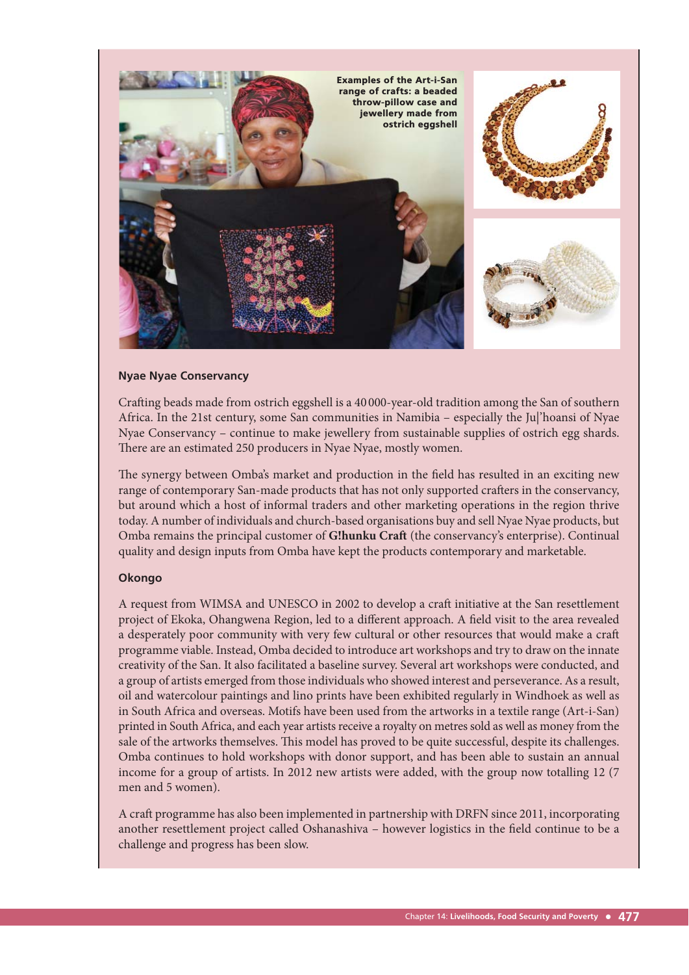

#### **Nyae Nyae Conservancy**

Crafting beads made from ostrich eggshell is a 40 000-year-old tradition among the San of southern Africa. In the 21st century, some San communities in Namibia – especially the Ju|'hoansi of Nyae Nyae Conservancy – continue to make jewellery from sustainable supplies of ostrich egg shards. There are an estimated 250 producers in Nyae Nyae, mostly women.

The synergy between Omba's market and production in the field has resulted in an exciting new range of contemporary San-made products that has not only supported crafters in the conservancy, but around which a host of informal traders and other marketing operations in the region thrive today. A number of individuals and church-based organisations buy and sell Nyae Nyae products, but Omba remains the principal customer of **G!hunku Craft** (the conservancy's enterprise). Continual quality and design inputs from Omba have kept the products contemporary and marketable.

#### **Okongo**

A request from WIMSA and UNESCO in 2002 to develop a craft initiative at the San resettlement project of Ekoka, Ohangwena Region, led to a different approach. A field visit to the area revealed a desperately poor community with very few cultural or other resources that would make a craft programme viable. Instead, Omba decided to introduce art workshops and try to draw on the innate creativity of the San. It also facilitated a baseline survey. Several art workshops were conducted, and a group of artists emerged from those individuals who showed interest and perseverance. As a result, oil and watercolour paintings and lino prints have been exhibited regularly in Windhoek as well as in South Africa and overseas. Motifs have been used from the artworks in a textile range (Art-i-San) printed in South Africa, and each year artists receive a royalty on metres sold as well as money from the sale of the artworks themselves. This model has proved to be quite successful, despite its challenges. Omba continues to hold workshops with donor support, and has been able to sustain an annual income for a group of artists. In 2012 new artists were added, with the group now totalling 12 (7 men and 5 women).

A craft programme has also been implemented in partnership with DRFN since 2011, incorporating another resettlement project called Oshanashiva - however logistics in the field continue to be a challenge and progress has been slow.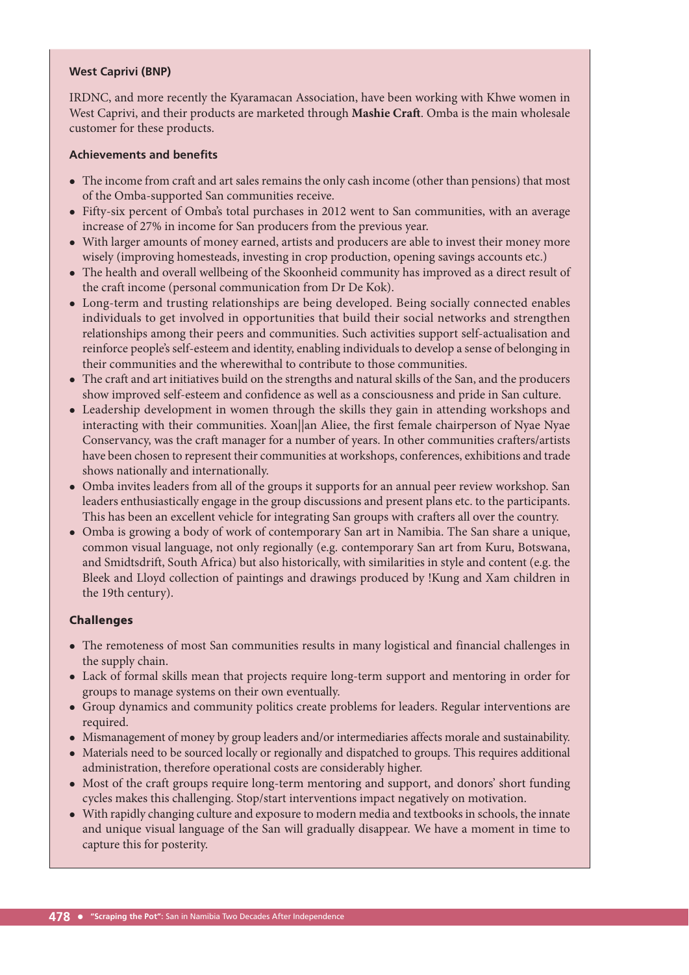#### **West Caprivi (BNP)**

IRDNC, and more recently the Kyaramacan Association, have been working with Khwe women in West Caprivi, and their products are marketed through **Mashie Craft**. Omba is the main wholesale customer for these products.

#### **Achievements and benefits**

- The income from craft and art sales remains the only cash income (other than pensions) that most of the Omba-supported San communities receive.
- Fifty-six percent of Omba's total purchases in 2012 went to San communities, with an average increase of 27% in income for San producers from the previous year.
- With larger amounts of money earned, artists and producers are able to invest their money more wisely (improving homesteads, investing in crop production, opening savings accounts etc.)
- The health and overall wellbeing of the Skoonheid community has improved as a direct result of the craft income (personal communication from Dr De Kok).
- Long-term and trusting relationships are being developed. Being socially connected enables individuals to get involved in opportunities that build their social networks and strengthen relationships among their peers and communities. Such activities support self-actualisation and reinforce people's self-esteem and identity, enabling individuals to develop a sense of belonging in their communities and the wherewithal to contribute to those communities.
- The craft and art initiatives build on the strengths and natural skills of the San, and the producers show improved self-esteem and confidence as well as a consciousness and pride in San culture.
- Leadership development in women through the skills they gain in attending workshops and interacting with their communities. Xoan||an Aliee, the first female chairperson of Nyae Nyae Conservancy, was the craft manager for a number of years. In other communities crafters/artists have been chosen to represent their communities at workshops, conferences, exhibitions and trade shows nationally and internationally.
- Omba invites leaders from all of the groups it supports for an annual peer review workshop. San leaders enthusiastically engage in the group discussions and present plans etc. to the participants. This has been an excellent vehicle for integrating San groups with crafters all over the country.
- Omba is growing a body of work of contemporary San art in Namibia. The San share a unique, common visual language, not only regionally (e.g. contemporary San art from Kuru, Botswana, and Smidtsdrift, South Africa) but also historically, with similarities in style and content (e.g. the Bleek and Lloyd collection of paintings and drawings produced by !Kung and Xam children in the 19th century).

#### Challenges

- The remoteness of most San communities results in many logistical and financial challenges in the supply chain.
- Lack of formal skills mean that projects require long-term support and mentoring in order for groups to manage systems on their own eventually.
- Group dynamics and community politics create problems for leaders. Regular interventions are required.
- Mismanagement of money by group leaders and/or intermediaries affects morale and sustainability.
- Materials need to be sourced locally or regionally and dispatched to groups. This requires additional administration, therefore operational costs are considerably higher.
- Most of the craft groups require long-term mentoring and support, and donors' short funding cycles makes this challenging. Stop/start interventions impact negatively on motivation.
- With rapidly changing culture and exposure to modern media and textbooks in schools, the innate and unique visual language of the San will gradually disappear. We have a moment in time to capture this for posterity.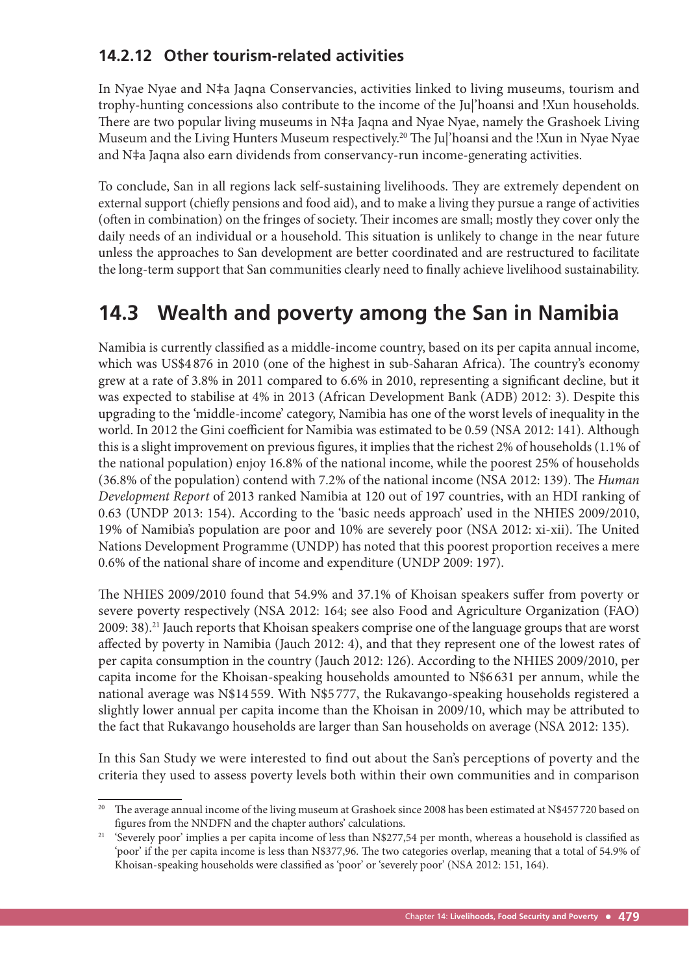## **14.2.12 Other tourism-related activities**

In Nyae Nyae and N‡a Jaqna Conservancies, activities linked to living museums, tourism and trophy-hunting concessions also contribute to the income of the Ju|'hoansi and !Xun households. There are two popular living museums in N‡a Jaqna and Nyae Nyae, namely the Grashoek Living Museum and the Living Hunters Museum respectively.<sup>20</sup> The Jul'hoansi and the !Xun in Nyae Nyae and N‡a Jaqna also earn dividends from conservancy-run income-generating activities.

To conclude, San in all regions lack self-sustaining livelihoods. They are extremely dependent on external support (chiefly pensions and food aid), and to make a living they pursue a range of activities (often in combination) on the fringes of society. Their incomes are small; mostly they cover only the daily needs of an individual or a household. This situation is unlikely to change in the near future unless the approaches to San development are better coordinated and are restructured to facilitate the long-term support that San communities clearly need to finally achieve livelihood sustainability.

## **14.3 Wealth and poverty among the San in Namibia**

Namibia is currently classified as a middle-income country, based on its per capita annual income, which was US\$4 876 in 2010 (one of the highest in sub-Saharan Africa). The country's economy grew at a rate of 3.8% in 2011 compared to 6.6% in 2010, representing a significant decline, but it was expected to stabilise at 4% in 2013 (African Development Bank (ADB) 2012: 3). Despite this upgrading to the 'middle-income' category, Namibia has one of the worst levels of inequality in the world. In 2012 the Gini coefficient for Namibia was estimated to be 0.59 (NSA 2012: 141). Although this is a slight improvement on previous figures, it implies that the richest 2% of households (1.1% of the national population) enjoy 16.8% of the national income, while the poorest 25% of households (36.8% of the population) contend with 7.2% of the national income (NSA 2012: 139). The *Human Development Report* of 2013 ranked Namibia at 120 out of 197 countries, with an HDI ranking of 0.63 (UNDP 2013: 154). According to the 'basic needs approach' used in the NHIES 2009/2010, 19% of Namibia's population are poor and 10% are severely poor (NSA 2012: xi-xii). The United Nations Development Programme (UNDP) has noted that this poorest proportion receives a mere 0.6% of the national share of income and expenditure (UNDP 2009: 197).

The NHIES 2009/2010 found that 54.9% and 37.1% of Khoisan speakers suffer from poverty or severe poverty respectively (NSA 2012: 164; see also Food and Agriculture Organization (FAO) 2009: 38).<sup>21</sup> Jauch reports that Khoisan speakers comprise one of the language groups that are worst affected by poverty in Namibia (Jauch 2012: 4), and that they represent one of the lowest rates of per capita consumption in the country (Jauch 2012: 126). According to the NHIES 2009/2010, per capita income for the Khoisan-speaking households amounted to N\$6 631 per annum, while the national average was N\$14 559. With N\$5 777, the Rukavango-speaking households registered a slightly lower annual per capita income than the Khoisan in 2009/10, which may be attributed to the fact that Rukavango households are larger than San households on average (NSA 2012: 135).

In this San Study we were interested to find out about the San's perceptions of poverty and the criteria they used to assess poverty levels both within their own communities and in comparison

<sup>&</sup>lt;sup>20</sup> The average annual income of the living museum at Grashoek since 2008 has been estimated at N\$457720 based on figures from the NNDFN and the chapter authors' calculations.

<sup>&</sup>lt;sup>21</sup> 'Severely poor' implies a per capita income of less than N\$277,54 per month, whereas a household is classified as 'poor' if the per capita income is less than N\$377,96. The two categories overlap, meaning that a total of 54.9% of Khoisan-speaking households were classified as 'poor' or 'severely poor' (NSA 2012: 151, 164).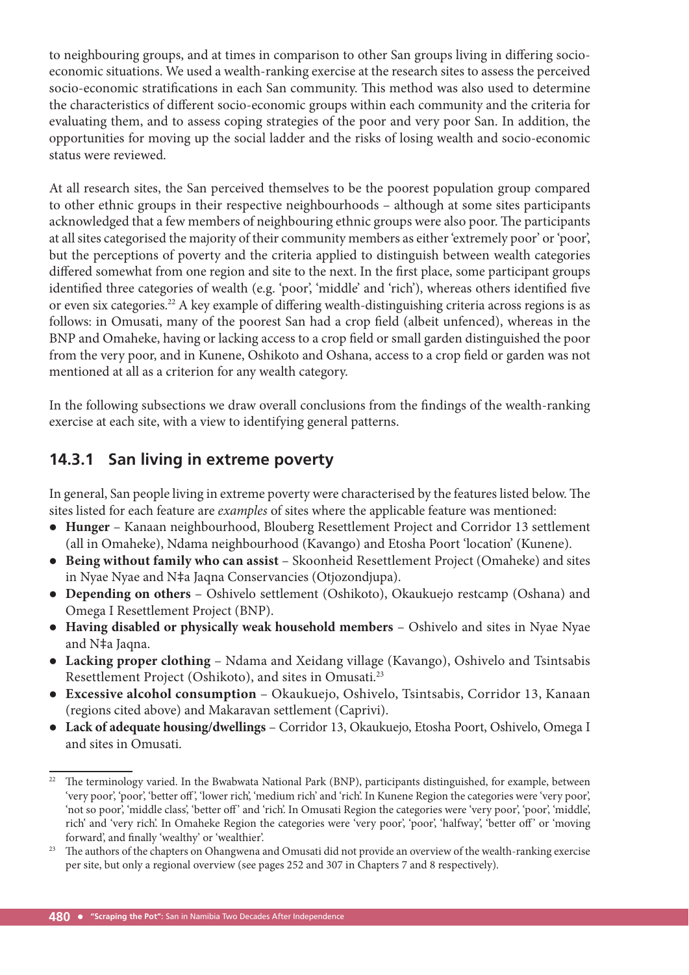to neighbouring groups, and at times in comparison to other San groups living in differing socioeconomic situations. We used a wealth-ranking exercise at the research sites to assess the perceived socio-economic stratifications in each San community. This method was also used to determine the characteristics of different socio-economic groups within each community and the criteria for evaluating them, and to assess coping strategies of the poor and very poor San. In addition, the opportunities for moving up the social ladder and the risks of losing wealth and socio-economic status were reviewed.

At all research sites, the San perceived themselves to be the poorest population group compared to other ethnic groups in their respective neighbourhoods – although at some sites participants acknowledged that a few members of neighbouring ethnic groups were also poor. The participants at all sites categorised the majority of their community members as either 'extremely poor' or 'poor', but the perceptions of poverty and the criteria applied to distinguish between wealth categories differed somewhat from one region and site to the next. In the first place, some participant groups identified three categories of wealth (e.g. 'poor', 'middle' and 'rich'), whereas others identified five or even six categories.<sup>22</sup> A key example of differing wealth-distinguishing criteria across regions is as follows: in Omusati, many of the poorest San had a crop field (albeit unfenced), whereas in the BNP and Omaheke, having or lacking access to a crop field or small garden distinguished the poor from the very poor, and in Kunene, Oshikoto and Oshana, access to a crop field or garden was not mentioned at all as a criterion for any wealth category.

In the following subsections we draw overall conclusions from the findings of the wealth-ranking exercise at each site, with a view to identifying general patterns.

## **14.3.1 San living in extreme poverty**

In general, San people living in extreme poverty were characterised by the features listed below. The sites listed for each feature are *examples* of sites where the applicable feature was mentioned:

- **Hunger** Kanaan neighbourhood, Blouberg Resettlement Project and Corridor 13 settlement (all in Omaheke), Ndama neighbourhood (Kavango) and Etosha Poort 'location' (Kunene).
- **Being without family who can assist** Skoonheid Resettlement Project (Omaheke) and sites in Nyae Nyae and N‡a Jaqna Conservancies (Otjozondjupa).
- **Depending on others** Oshivelo settlement (Oshikoto), Okaukuejo restcamp (Oshana) and Omega I Resettlement Project (BNP).
- **Having disabled or physically weak household members** Oshivelo and sites in Nyae Nyae and N‡a Jaqna.
- **Lacking proper clothing** Ndama and Xeidang village (Kavango), Oshivelo and Tsintsabis Resettlement Project (Oshikoto), and sites in Omusati.23
- **Excessive alcohol consumption** Okaukuejo, Oshivelo, Tsintsabis, Corridor 13, Kanaan (regions cited above) and Makaravan settlement (Caprivi).
- **Lack of adequate housing/dwellings** Corridor 13, Okaukuejo, Etosha Poort, Oshivelo, Omega I and sites in Omusati.

<sup>&</sup>lt;sup>22</sup> The terminology varied. In the Bwabwata National Park (BNP), participants distinguished, for example, between 'very poor', 'poor', 'better off ', 'lower rich', 'medium rich' and 'rich'. In Kunene Region the categories were 'very poor', 'not so poor', 'middle class', 'better off' and 'rich'. In Omusati Region the categories were 'very poor', 'poor', 'middle', rich' and 'very rich'. In Omaheke Region the categories were 'very poor', 'poor', 'halfway', 'better off' or 'moving forward', and finally 'wealthy' or 'wealthier'.

<sup>&</sup>lt;sup>23</sup> The authors of the chapters on Ohangwena and Omusati did not provide an overview of the wealth-ranking exercise per site, but only a regional overview (see pages 252 and 307 in Chapters 7 and 8 respectively).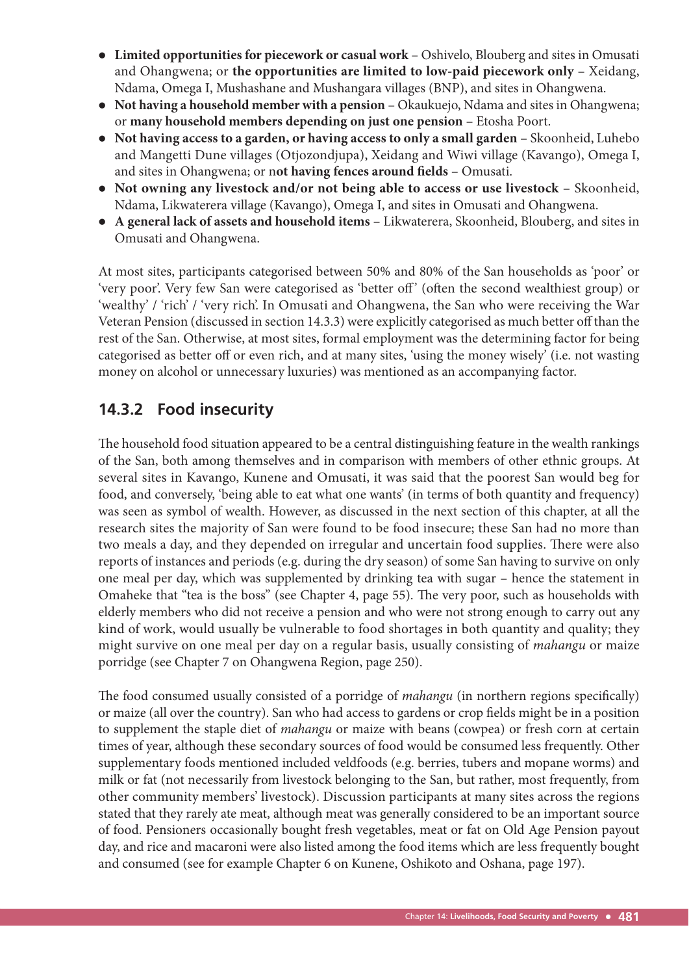- **Limited opportunities for piecework or casual work** Oshivelo, Blouberg and sites in Omusati and Ohangwena; or **the opportunities are limited to low-paid piecework only** – Xeidang, Ndama, Omega I, Mushashane and Mushangara villages (BNP), and sites in Ohangwena.
- **Not having a household member with a pension** Okaukuejo, Ndama and sites in Ohangwena; or **many household members depending on just one pension** – Etosha Poort.
- **Not having access to a garden, or having access to only a small garden** Skoonheid, Luhebo and Mangetti Dune villages (Otjozondjupa), Xeidang and Wiwi village (Kavango), Omega I, and sites in Ohangwena; or not having fences around fields – Omusati.
- **Not owning any livestock and/or not being able to access or use livestock** Skoonheid, Ndama, Likwaterera village (Kavango), Omega I, and sites in Omusati and Ohangwena.
- **A general lack of assets and household items** Likwaterera, Skoonheid, Blouberg, and sites in Omusati and Ohangwena.

At most sites, participants categorised between 50% and 80% of the San households as 'poor' or 'very poor'. Very few San were categorised as 'better off' (often the second wealthiest group) or 'wealthy' / 'rich' / 'very rich'. In Omusati and Ohangwena, the San who were receiving the War Veteran Pension (discussed in section 14.3.3) were explicitly categorised as much better off than the rest of the San. Otherwise, at most sites, formal employment was the determining factor for being categorised as better off or even rich, and at many sites, 'using the money wisely' (i.e. not wasting money on alcohol or unnecessary luxuries) was mentioned as an accompanying factor.

## **14.3.2 Food insecurity**

The household food situation appeared to be a central distinguishing feature in the wealth rankings of the San, both among themselves and in comparison with members of other ethnic groups. At several sites in Kavango, Kunene and Omusati, it was said that the poorest San would beg for food, and conversely, 'being able to eat what one wants' (in terms of both quantity and frequency) was seen as symbol of wealth. However, as discussed in the next section of this chapter, at all the research sites the majority of San were found to be food insecure; these San had no more than two meals a day, and they depended on irregular and uncertain food supplies. There were also reports of instances and periods (e.g. during the dry season) of some San having to survive on only one meal per day, which was supplemented by drinking tea with sugar – hence the statement in Omaheke that "tea is the boss" (see Chapter 4, page 55). The very poor, such as households with elderly members who did not receive a pension and who were not strong enough to carry out any kind of work, would usually be vulnerable to food shortages in both quantity and quality; they might survive on one meal per day on a regular basis, usually consisting of *mahangu* or maize porridge (see Chapter 7 on Ohangwena Region, page 250).

The food consumed usually consisted of a porridge of *mahangu* (in northern regions specifically) or maize (all over the country). San who had access to gardens or crop fields might be in a position to supplement the staple diet of *mahangu* or maize with beans (cowpea) or fresh corn at certain times of year, although these secondary sources of food would be consumed less frequently. Other supplementary foods mentioned included veldfoods (e.g. berries, tubers and mopane worms) and milk or fat (not necessarily from livestock belonging to the San, but rather, most frequently, from other community members' livestock). Discussion participants at many sites across the regions stated that they rarely ate meat, although meat was generally considered to be an important source of food. Pensioners occasionally bought fresh vegetables, meat or fat on Old Age Pension payout day, and rice and macaroni were also listed among the food items which are less frequently bought and consumed (see for example Chapter 6 on Kunene, Oshikoto and Oshana, page 197).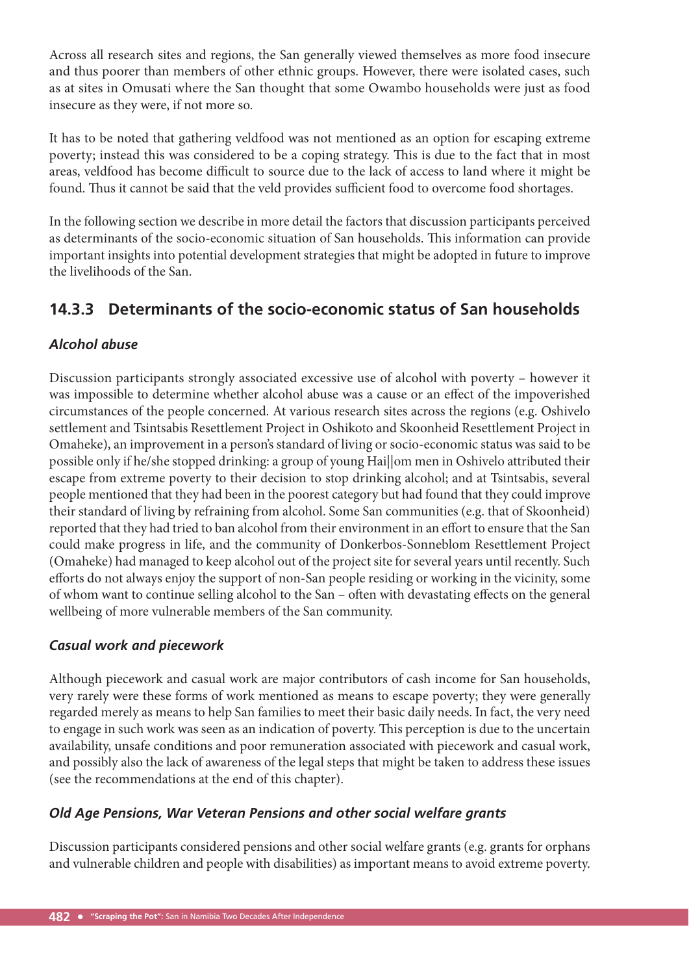Across all research sites and regions, the San generally viewed themselves as more food insecure and thus poorer than members of other ethnic groups. However, there were isolated cases, such as at sites in Omusati where the San thought that some Owambo households were just as food insecure as they were, if not more so.

It has to be noted that gathering veldfood was not mentioned as an option for escaping extreme poverty; instead this was considered to be a coping strategy. This is due to the fact that in most areas, veldfood has become difficult to source due to the lack of access to land where it might be found. Thus it cannot be said that the veld provides sufficient food to overcome food shortages.

In the following section we describe in more detail the factors that discussion participants perceived as determinants of the socio-economic situation of San households. This information can provide important insights into potential development strategies that might be adopted in future to improve the livelihoods of the San.

## **14.3.3 Determinants of the socio-economic status of San households**

#### *Alcohol abuse*

Discussion participants strongly associated excessive use of alcohol with poverty – however it was impossible to determine whether alcohol abuse was a cause or an effect of the impoverished circumstances of the people concerned. At various research sites across the regions (e.g. Oshivelo settlement and Tsintsabis Resettlement Project in Oshikoto and Skoonheid Resettlement Project in Omaheke), an improvement in a person's standard of living or socio-economic status was said to be possible only if he/she stopped drinking: a group of young Hai||om men in Oshivelo attributed their escape from extreme poverty to their decision to stop drinking alcohol; and at Tsintsabis, several people mentioned that they had been in the poorest category but had found that they could improve their standard of living by refraining from alcohol. Some San communities (e.g. that of Skoonheid) reported that they had tried to ban alcohol from their environment in an effort to ensure that the San could make progress in life, and the community of Donkerbos-Sonneblom Resettlement Project (Omaheke) had managed to keep alcohol out of the project site for several years until recently. Such efforts do not always enjoy the support of non-San people residing or working in the vicinity, some of whom want to continue selling alcohol to the San – often with devastating effects on the general wellbeing of more vulnerable members of the San community.

#### *Casual work and piecework*

Although piecework and casual work are major contributors of cash income for San households, very rarely were these forms of work mentioned as means to escape poverty; they were generally regarded merely as means to help San families to meet their basic daily needs. In fact, the very need to engage in such work was seen as an indication of poverty. This perception is due to the uncertain availability, unsafe conditions and poor remuneration associated with piecework and casual work, and possibly also the lack of awareness of the legal steps that might be taken to address these issues (see the recommendations at the end of this chapter).

#### *Old Age Pensions, War Veteran Pensions and other social welfare grants*

Discussion participants considered pensions and other social welfare grants (e.g. grants for orphans and vulnerable children and people with disabilities) as important means to avoid extreme poverty.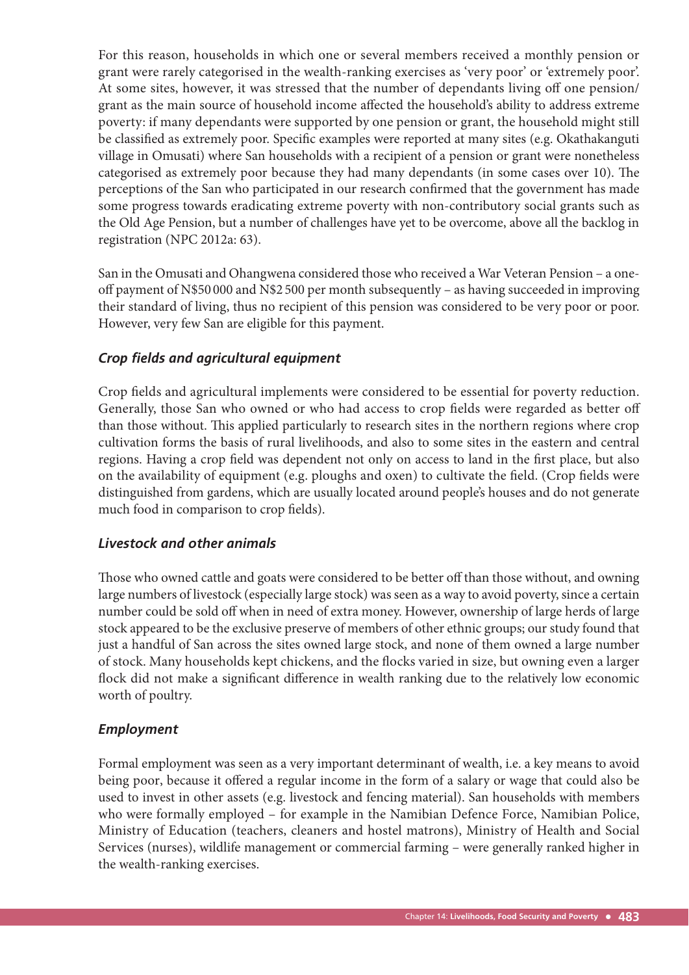For this reason, households in which one or several members received a monthly pension or grant were rarely categorised in the wealth-ranking exercises as 'very poor' or 'extremely poor'. At some sites, however, it was stressed that the number of dependants living off one pension/ grant as the main source of household income affected the household's ability to address extreme poverty: if many dependants were supported by one pension or grant, the household might still be classified as extremely poor. Specific examples were reported at many sites (e.g. Okathakanguti village in Omusati) where San households with a recipient of a pension or grant were nonetheless categorised as extremely poor because they had many dependants (in some cases over 10). The perceptions of the San who participated in our research confirmed that the government has made some progress towards eradicating extreme poverty with non-contributory social grants such as the Old Age Pension, but a number of challenges have yet to be overcome, above all the backlog in registration (NPC 2012a: 63).

San in the Omusati and Ohangwena considered those who received a War Veteran Pension – a oneoff payment of N\$50 000 and N\$2 500 per month subsequently – as having succeeded in improving their standard of living, thus no recipient of this pension was considered to be very poor or poor. However, very few San are eligible for this payment.

#### *Crop fields and agricultural equipment*

Crop fields and agricultural implements were considered to be essential for poverty reduction. Generally, those San who owned or who had access to crop fields were regarded as better off than those without. This applied particularly to research sites in the northern regions where crop cultivation forms the basis of rural livelihoods, and also to some sites in the eastern and central regions. Having a crop field was dependent not only on access to land in the first place, but also on the availability of equipment (e.g. ploughs and oxen) to cultivate the field. (Crop fields were distinguished from gardens, which are usually located around people's houses and do not generate much food in comparison to crop fields).

#### *Livestock and other animals*

Those who owned cattle and goats were considered to be better off than those without, and owning large numbers of livestock (especially large stock) was seen as a way to avoid poverty, since a certain number could be sold off when in need of extra money. However, ownership of large herds of large stock appeared to be the exclusive preserve of members of other ethnic groups; our study found that just a handful of San across the sites owned large stock, and none of them owned a large number of stock. Many households kept chickens, and the flocks varied in size, but owning even a larger flock did not make a significant difference in wealth ranking due to the relatively low economic worth of poultry.

#### *Employment*

Formal employment was seen as a very important determinant of wealth, i.e. a key means to avoid being poor, because it offered a regular income in the form of a salary or wage that could also be used to invest in other assets (e.g. livestock and fencing material). San households with members who were formally employed – for example in the Namibian Defence Force, Namibian Police, Ministry of Education (teachers, cleaners and hostel matrons), Ministry of Health and Social Services (nurses), wildlife management or commercial farming – were generally ranked higher in the wealth-ranking exercises.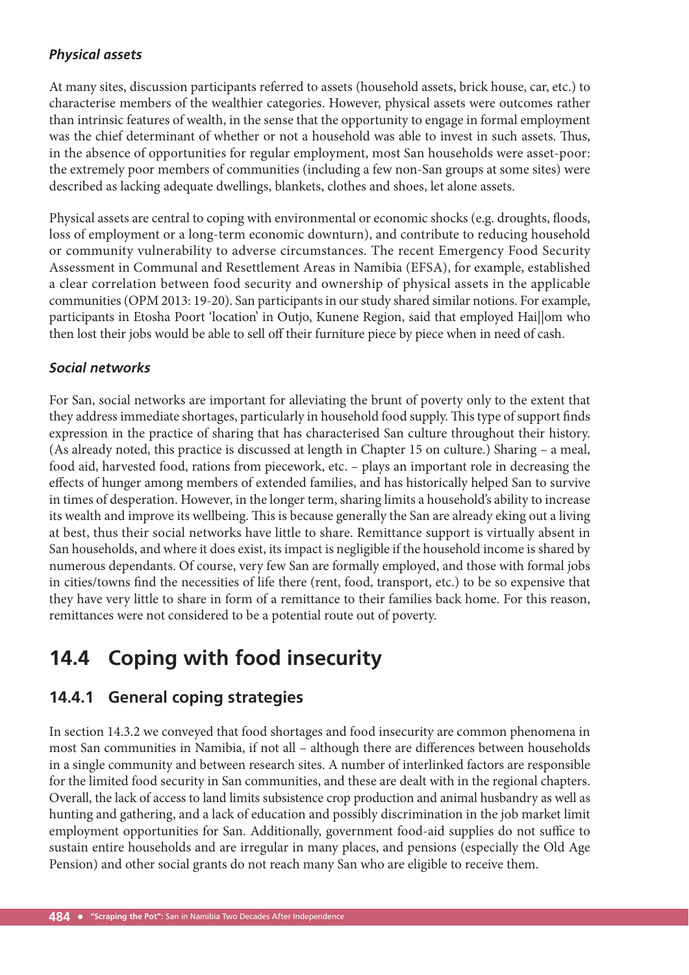#### *Physical assets*

At many sites, discussion participants referred to assets (household assets, brick house, car, etc.) to characterise members of the wealthier categories. However, physical assets were outcomes rather than intrinsic features of wealth, in the sense that the opportunity to engage in formal employment was the chief determinant of whether or not a household was able to invest in such assets. Thus, in the absence of opportunities for regular employment, most San households were asset-poor: the extremely poor members of communities (including a few non-San groups at some sites) were described as lacking adequate dwellings, blankets, clothes and shoes, let alone assets.

Physical assets are central to coping with environmental or economic shocks (e.g. droughts, floods, loss of employment or a long-term economic downturn), and contribute to reducing household or community vulnerability to adverse circumstances. The recent Emergency Food Security Assessment in Communal and Resettlement Areas in Namibia (EFSA), for example, established a clear correlation between food security and ownership of physical assets in the applicable communities (OPM 2013: 19-20). San participants in our study shared similar notions. For example, participants in Etosha Poort 'location' in Outjo, Kunene Region, said that employed Hai||om who then lost their jobs would be able to sell off their furniture piece by piece when in need of cash.

#### *Social networks*

For San, social networks are important for alleviating the brunt of poverty only to the extent that they address immediate shortages, particularly in household food supply. This type of support finds expression in the practice of sharing that has characterised San culture throughout their history. (As already noted, this practice is discussed at length in Chapter 15 on culture.) Sharing – a meal, food aid, harvested food, rations from piecework, etc. – plays an important role in decreasing the effects of hunger among members of extended families, and has historically helped San to survive in times of desperation. However, in the longer term, sharing limits a household's ability to increase its wealth and improve its wellbeing. This is because generally the San are already eking out a living at best, thus their social networks have little to share. Remittance support is virtually absent in San households, and where it does exist, its impact is negligible if the household income is shared by numerous dependants. Of course, very few San are formally employed, and those with formal jobs in cities/towns find the necessities of life there (rent, food, transport, etc.) to be so expensive that they have very little to share in form of a remittance to their families back home. For this reason, remittances were not considered to be a potential route out of poverty.

# **14.4 Coping with food insecurity**

## **14.4.1 General coping strategies**

In section 14.3.2 we conveyed that food shortages and food insecurity are common phenomena in most San communities in Namibia, if not all – although there are differences between households in a single community and between research sites. A number of interlinked factors are responsible for the limited food security in San communities, and these are dealt with in the regional chapters. Overall, the lack of access to land limits subsistence crop production and animal husbandry as well as hunting and gathering, and a lack of education and possibly discrimination in the job market limit employment opportunities for San. Additionally, government food-aid supplies do not suffice to sustain entire households and are irregular in many places, and pensions (especially the Old Age Pension) and other social grants do not reach many San who are eligible to receive them.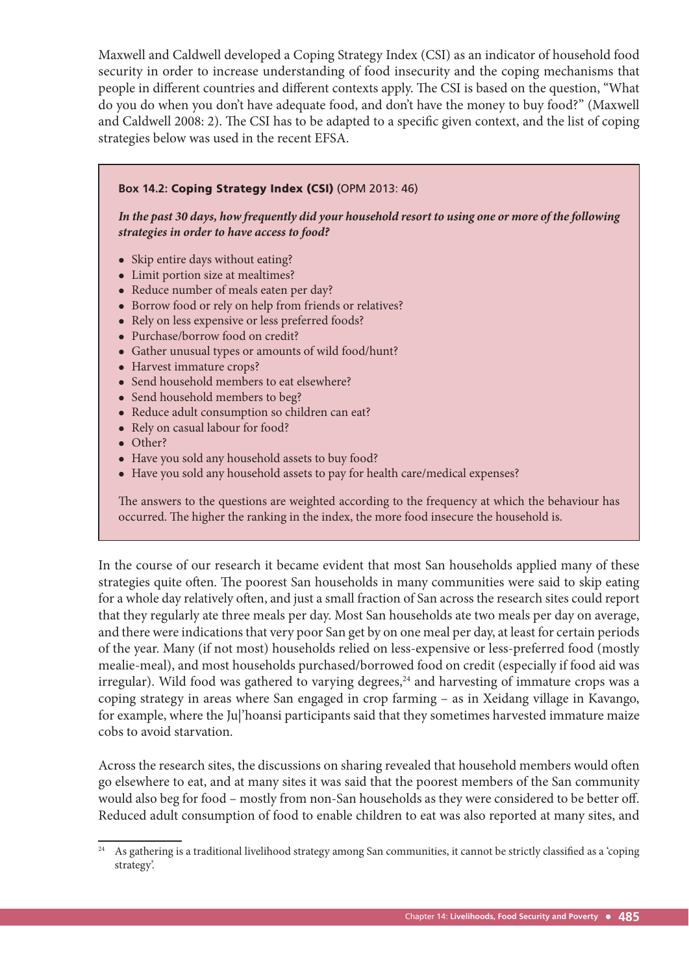Maxwell and Caldwell developed a Coping Strategy Index (CSI) as an indicator of household food security in order to increase understanding of food insecurity and the coping mechanisms that people in different countries and different contexts apply. The CSI is based on the question, "What do you do when you don't have adequate food, and don't have the money to buy food?" (Maxwell and Caldwell 2008: 2). The CSI has to be adapted to a specific given context, and the list of coping strategies below was used in the recent EFSA.

## **Box 14.2:** Coping Strategy Index (CSI) (OPM 2013: 46) *In the past 30 days, how frequently did your household resort to using one or more of the following strategies in order to have access to food?* • Skip entire days without eating? Limit portion size at mealtimes? • Reduce number of meals eaten per day? • Borrow food or rely on help from friends or relatives? • Rely on less expensive or less preferred foods? Purchase/borrow food on credit? Gather unusual types or amounts of wild food/hunt? • Harvest immature crops? • Send household members to eat elsewhere? • Send household members to beg? • Reduce adult consumption so children can eat? • Rely on casual labour for food? • Other? Have you sold any household assets to buy food? Have you sold any household assets to pay for health care/medical expenses?

The answers to the questions are weighted according to the frequency at which the behaviour has occurred. The higher the ranking in the index, the more food insecure the household is.

In the course of our research it became evident that most San households applied many of these strategies quite often. The poorest San households in many communities were said to skip eating for a whole day relatively often, and just a small fraction of San across the research sites could report that they regularly ate three meals per day. Most San households ate two meals per day on average, and there were indications that very poor San get by on one meal per day, at least for certain periods of the year. Many (if not most) households relied on less-expensive or less-preferred food (mostly mealie-meal), and most households purchased/borrowed food on credit (especially if food aid was irregular). Wild food was gathered to varying degrees,<sup>24</sup> and harvesting of immature crops was a coping strategy in areas where San engaged in crop farming – as in Xeidang village in Kavango, for example, where the Ju|'hoansi participants said that they sometimes harvested immature maize cobs to avoid starvation.

Across the research sites, the discussions on sharing revealed that household members would often go elsewhere to eat, and at many sites it was said that the poorest members of the San community would also beg for food – mostly from non-San households as they were considered to be better off . Reduced adult consumption of food to enable children to eat was also reported at many sites, and

<sup>&</sup>lt;sup>24</sup> As gathering is a traditional livelihood strategy among San communities, it cannot be strictly classified as a 'coping strategy'.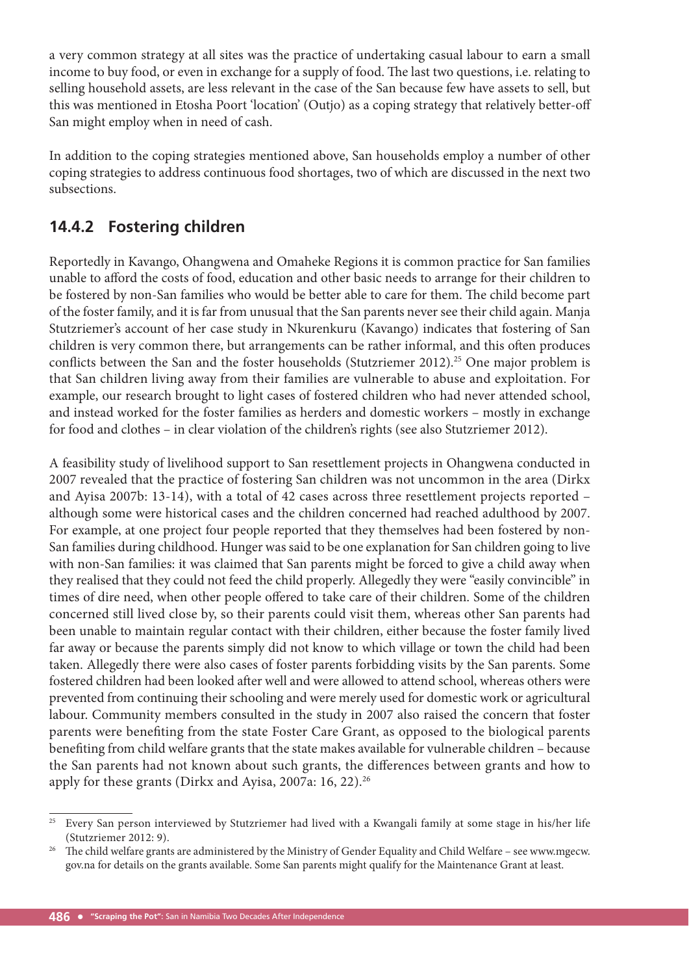a very common strategy at all sites was the practice of undertaking casual labour to earn a small income to buy food, or even in exchange for a supply of food. The last two questions, i.e. relating to selling household assets, are less relevant in the case of the San because few have assets to sell, but this was mentioned in Etosha Poort 'location' (Outjo) as a coping strategy that relatively better-off San might employ when in need of cash.

In addition to the coping strategies mentioned above, San households employ a number of other coping strategies to address continuous food shortages, two of which are discussed in the next two subsections.

## **14.4.2 Fostering children**

Reportedly in Kavango, Ohangwena and Omaheke Regions it is common practice for San families unable to afford the costs of food, education and other basic needs to arrange for their children to be fostered by non-San families who would be better able to care for them. The child become part of the foster family, and it is far from unusual that the San parents never see their child again. Manja Stutzriemer's account of her case study in Nkurenkuru (Kavango) indicates that fostering of San children is very common there, but arrangements can be rather informal, and this often produces conflicts between the San and the foster households (Stutzriemer 2012).<sup>25</sup> One major problem is that San children living away from their families are vulnerable to abuse and exploitation. For example, our research brought to light cases of fostered children who had never attended school, and instead worked for the foster families as herders and domestic workers – mostly in exchange for food and clothes – in clear violation of the children's rights (see also Stutzriemer 2012).

A feasibility study of livelihood support to San resettlement projects in Ohangwena conducted in 2007 revealed that the practice of fostering San children was not uncommon in the area (Dirkx and Ayisa 2007b: 13-14), with a total of 42 cases across three resettlement projects reported – although some were historical cases and the children concerned had reached adulthood by 2007. For example, at one project four people reported that they themselves had been fostered by non-San families during childhood. Hunger was said to be one explanation for San children going to live with non-San families: it was claimed that San parents might be forced to give a child away when they realised that they could not feed the child properly. Allegedly they were "easily convincible" in times of dire need, when other people offered to take care of their children. Some of the children concerned still lived close by, so their parents could visit them, whereas other San parents had been unable to maintain regular contact with their children, either because the foster family lived far away or because the parents simply did not know to which village or town the child had been taken. Allegedly there were also cases of foster parents forbidding visits by the San parents. Some fostered children had been looked after well and were allowed to attend school, whereas others were prevented from continuing their schooling and were merely used for domestic work or agricultural labour. Community members consulted in the study in 2007 also raised the concern that foster parents were benefiting from the state Foster Care Grant, as opposed to the biological parents benefiting from child welfare grants that the state makes available for vulnerable children - because the San parents had not known about such grants, the differences between grants and how to apply for these grants (Dirkx and Ayisa, 2007a: 16, 22).<sup>26</sup>

<sup>&</sup>lt;sup>25</sup> Every San person interviewed by Stutzriemer had lived with a Kwangali family at some stage in his/her life (Stutzriemer 2012: 9).<br><sup>26</sup> The child welfare grants are administered by the Ministry of Gender Equality and Child Welfare – see www.mgecw.

gov.na for details on the grants available. Some San parents might qualify for the Maintenance Grant at least.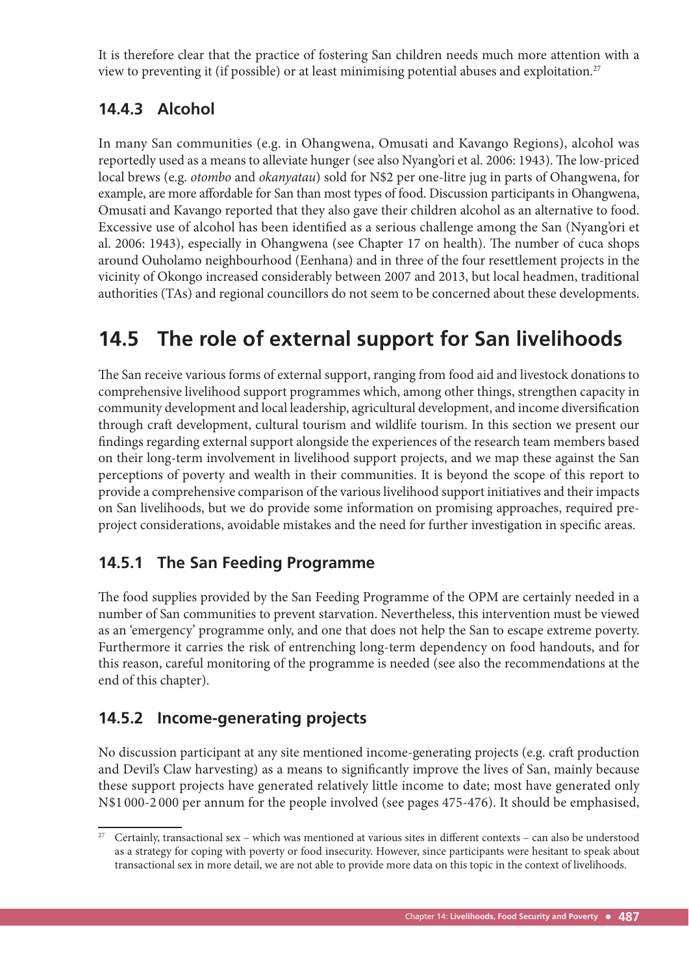It is therefore clear that the practice of fostering San children needs much more attention with a view to preventing it (if possible) or at least minimising potential abuses and exploitation.<sup>27</sup>

## **14.4.3 Alcohol**

In many San communities (e.g. in Ohangwena, Omusati and Kavango Regions), alcohol was reportedly used as a means to alleviate hunger (see also Nyang'ori et al. 2006: 1943). The low-priced local brews (e.g. *otombo* and *okanyatau*) sold for N\$2 per one-litre jug in parts of Ohangwena, for example, are more affordable for San than most types of food. Discussion participants in Ohangwena, Omusati and Kavango reported that they also gave their children alcohol as an alternative to food. Excessive use of alcohol has been identified as a serious challenge among the San (Nyang'ori et al. 2006: 1943), especially in Ohangwena (see Chapter 17 on health). The number of cuca shops around Ouholamo neighbourhood (Eenhana) and in three of the four resettlement projects in the vicinity of Okongo increased considerably between 2007 and 2013, but local headmen, traditional authorities (TAs) and regional councillors do not seem to be concerned about these developments.

# **14.5 The role of external support for San livelihoods**

The San receive various forms of external support, ranging from food aid and livestock donations to comprehensive livelihood support programmes which, among other things, strengthen capacity in community development and local leadership, agricultural development, and income diversification through craft development, cultural tourism and wildlife tourism. In this section we present our findings regarding external support alongside the experiences of the research team members based on their long-term involvement in livelihood support projects, and we map these against the San perceptions of poverty and wealth in their communities. It is beyond the scope of this report to provide a comprehensive comparison of the various livelihood support initiatives and their impacts on San livelihoods, but we do provide some information on promising approaches, required preproject considerations, avoidable mistakes and the need for further investigation in specific areas.

## **14.5.1 The San Feeding Programme**

The food supplies provided by the San Feeding Programme of the OPM are certainly needed in a number of San communities to prevent starvation. Nevertheless, this intervention must be viewed as an 'emergency' programme only, and one that does not help the San to escape extreme poverty. Furthermore it carries the risk of entrenching long-term dependency on food handouts, and for this reason, careful monitoring of the programme is needed (see also the recommendations at the end of this chapter).

## **14.5.2 Income-generating projects**

No discussion participant at any site mentioned income-generating projects (e.g. craft production and Devil's Claw harvesting) as a means to significantly improve the lives of San, mainly because these support projects have generated relatively little income to date; most have generated only N\$1 000-2 000 per annum for the people involved (see pages 475-476). It should be emphasised,

Certainly, transactional sex – which was mentioned at various sites in different contexts – can also be understood as a strategy for coping with poverty or food insecurity. However, since participants were hesitant to speak about transactional sex in more detail, we are not able to provide more data on this topic in the context of livelihoods.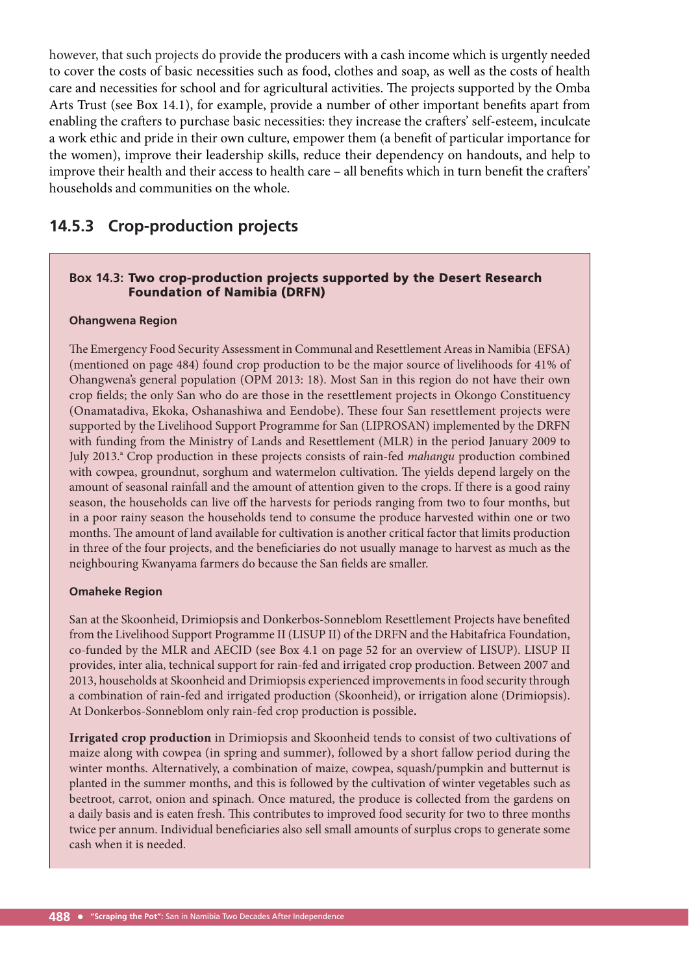however, that such projects do provide the producers with a cash income which is urgently needed to cover the costs of basic necessities such as food, clothes and soap, as well as the costs of health care and necessities for school and for agricultural activities. The projects supported by the Omba Arts Trust (see Box 14.1), for example, provide a number of other important benefits apart from enabling the crafters to purchase basic necessities: they increase the crafters' self-esteem, inculcate a work ethic and pride in their own culture, empower them (a benefit of particular importance for the women), improve their leadership skills, reduce their dependency on handouts, and help to improve their health and their access to health care – all benefits which in turn benefit the crafters' households and communities on the whole.

## **14.5.3 Crop-production projects**

#### **Box 14.3:** Two crop-production projects supported by the Desert Research Foundation of Namibia (DRFN)

#### **Ohangwena Region**

The Emergency Food Security Assessment in Communal and Resettlement Areas in Namibia (EFSA) (mentioned on page 484) found crop production to be the major source of livelihoods for 41% of Ohangwena's general population (OPM 2013: 18). Most San in this region do not have their own crop fields; the only San who do are those in the resettlement projects in Okongo Constituency (Onamatadiva, Ekoka, Oshanashiwa and Eendobe). These four San resettlement projects were supported by the Livelihood Support Programme for San (LIPROSAN) implemented by the DRFN with funding from the Ministry of Lands and Resettlement (MLR) in the period January 2009 to July 2013.<sup>a</sup> Crop production in these projects consists of rain-fed *mahangu* production combined with cowpea, groundnut, sorghum and watermelon cultivation. The yields depend largely on the amount of seasonal rainfall and the amount of attention given to the crops. If there is a good rainy season, the households can live off the harvests for periods ranging from two to four months, but in a poor rainy season the households tend to consume the produce harvested within one or two months. The amount of land available for cultivation is another critical factor that limits production in three of the four projects, and the beneficiaries do not usually manage to harvest as much as the neighbouring Kwanyama farmers do because the San fields are smaller.

#### **Omaheke Region**

San at the Skoonheid, Drimiopsis and Donkerbos-Sonneblom Resettlement Projects have benefited from the Livelihood Support Programme II (LISUP II) of the DRFN and the Habitafrica Foundation, co-funded by the MLR and AECID (see Box 4.1 on page 52 for an overview of LISUP). LISUP II provides, inter alia, technical support for rain-fed and irrigated crop production. Between 2007 and 2013, households at Skoonheid and Drimiopsis experienced improvements in food security through a combination of rain-fed and irrigated production (Skoonheid), or irrigation alone (Drimiopsis). At Donkerbos-Sonneblom only rain-fed crop production is possible**.** 

**Irrigated crop production** in Drimiopsis and Skoonheid tends to consist of two cultivations of maize along with cowpea (in spring and summer), followed by a short fallow period during the winter months. Alternatively, a combination of maize, cowpea, squash/pumpkin and butternut is planted in the summer months, and this is followed by the cultivation of winter vegetables such as beetroot, carrot, onion and spinach. Once matured, the produce is collected from the gardens on a daily basis and is eaten fresh. This contributes to improved food security for two to three months twice per annum. Individual beneficiaries also sell small amounts of surplus crops to generate some cash when it is needed.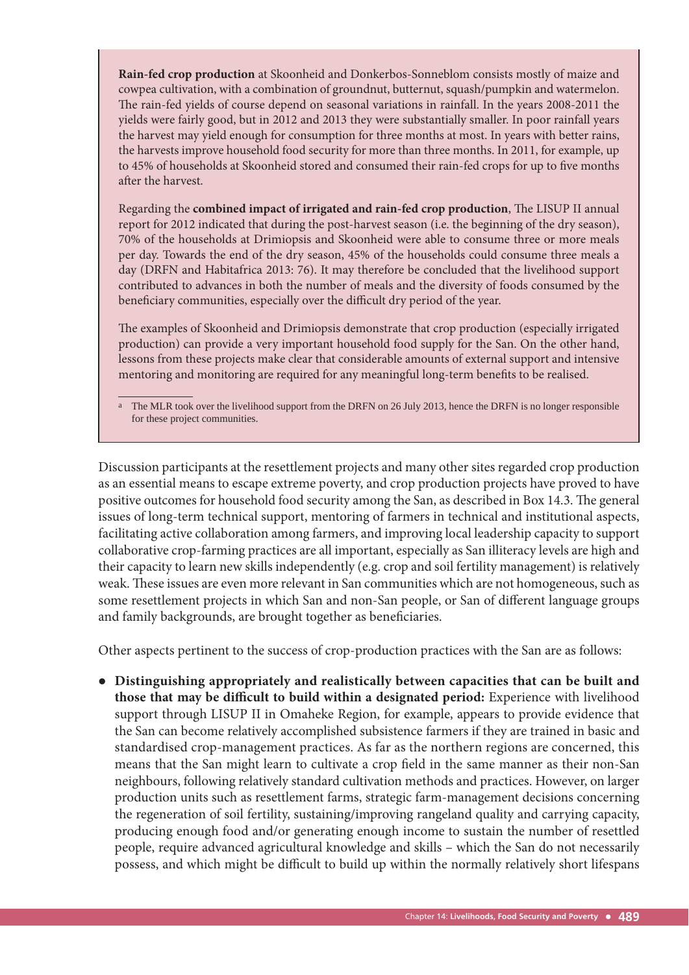**Rain-fed crop production** at Skoonheid and Donkerbos-Sonneblom consists mostly of maize and cowpea cultivation, with a combination of groundnut, butternut, squash/pumpkin and watermelon. The rain-fed yields of course depend on seasonal variations in rainfall. In the years 2008-2011 the yields were fairly good, but in 2012 and 2013 they were substantially smaller. In poor rainfall years the harvest may yield enough for consumption for three months at most. In years with better rains, the harvests improve household food security for more than three months. In 2011, for example, up to 45% of households at Skoonheid stored and consumed their rain-fed crops for up to five months after the harvest.

Regarding the **combined impact of irrigated and rain-fed crop production**, The LISUP II annual report for 2012 indicated that during the post-harvest season (i.e. the beginning of the dry season), 70% of the households at Drimiopsis and Skoonheid were able to consume three or more meals per day. Towards the end of the dry season, 45% of the households could consume three meals a day (DRFN and Habitafrica 2013: 76). It may therefore be concluded that the livelihood support contributed to advances in both the number of meals and the diversity of foods consumed by the beneficiary communities, especially over the difficult dry period of the year.

The examples of Skoonheid and Drimiopsis demonstrate that crop production (especially irrigated production) can provide a very important household food supply for the San. On the other hand, lessons from these projects make clear that considerable amounts of external support and intensive mentoring and monitoring are required for any meaningful long-term benefits to be realised.

<sup>a</sup> The MLR took over the livelihood support from the DRFN on 26 July 2013, hence the DRFN is no longer responsible for these project communities.

Discussion participants at the resettlement projects and many other sites regarded crop production as an essential means to escape extreme poverty, and crop production projects have proved to have positive outcomes for household food security among the San, as described in Box 14.3. The general issues of long-term technical support, mentoring of farmers in technical and institutional aspects, facilitating active collaboration among farmers, and improving local leadership capacity to support collaborative crop-farming practices are all important, especially as San illiteracy levels are high and their capacity to learn new skills independently (e.g. crop and soil fertility management) is relatively weak. These issues are even more relevant in San communities which are not homogeneous, such as some resettlement projects in which San and non-San people, or San of different language groups and family backgrounds, are brought together as beneficiaries.

Other aspects pertinent to the success of crop-production practices with the San are as follows:

 **Distinguishing appropriately and realistically between capacities that can be built and those that may be difficult to build within a designated period:** Experience with livelihood support through LISUP II in Omaheke Region, for example, appears to provide evidence that the San can become relatively accomplished subsistence farmers if they are trained in basic and standardised crop-management practices. As far as the northern regions are concerned, this means that the San might learn to cultivate a crop field in the same manner as their non-San neighbours, following relatively standard cultivation methods and practices. However, on larger production units such as resettlement farms, strategic farm-management decisions concerning the regeneration of soil fertility, sustaining/improving rangeland quality and carrying capacity, producing enough food and/or generating enough income to sustain the number of resettled people, require advanced agricultural knowledge and skills – which the San do not necessarily possess, and which might be difficult to build up within the normally relatively short lifespans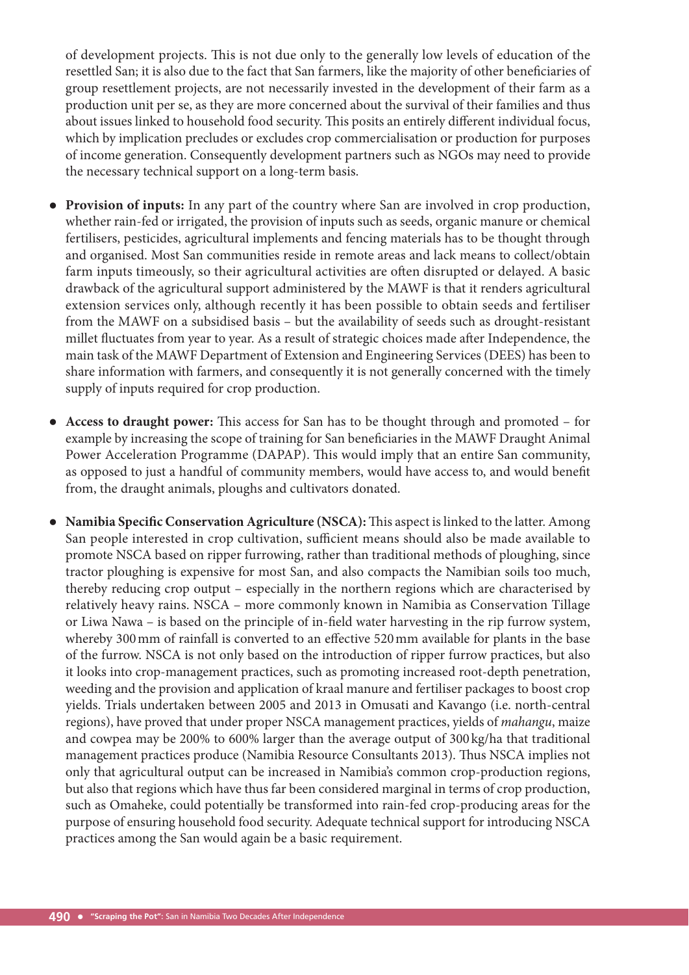of development projects. This is not due only to the generally low levels of education of the resettled San; it is also due to the fact that San farmers, like the majority of other beneficiaries of group resettlement projects, are not necessarily invested in the development of their farm as a production unit per se, as they are more concerned about the survival of their families and thus about issues linked to household food security. This posits an entirely different individual focus, which by implication precludes or excludes crop commercialisation or production for purposes of income generation. Consequently development partners such as NGOs may need to provide the necessary technical support on a long-term basis.

- **Provision of inputs:** In any part of the country where San are involved in crop production, whether rain-fed or irrigated, the provision of inputs such as seeds, organic manure or chemical fertilisers, pesticides, agricultural implements and fencing materials has to be thought through and organised. Most San communities reside in remote areas and lack means to collect/obtain farm inputs timeously, so their agricultural activities are often disrupted or delayed. A basic drawback of the agricultural support administered by the MAWF is that it renders agricultural extension services only, although recently it has been possible to obtain seeds and fertiliser from the MAWF on a subsidised basis – but the availability of seeds such as drought-resistant millet fluctuates from year to year. As a result of strategic choices made after Independence, the main task of the MAWF Department of Extension and Engineering Services (DEES) has been to share information with farmers, and consequently it is not generally concerned with the timely supply of inputs required for crop production.
- Access to draught power: This access for San has to be thought through and promoted for example by increasing the scope of training for San beneficiaries in the MAWF Draught Animal Power Acceleration Programme (DAPAP). This would imply that an entire San community, as opposed to just a handful of community members, would have access to, and would benefit from, the draught animals, ploughs and cultivators donated.
- **Namibia Specific Conservation Agriculture (NSCA):** This aspect is linked to the latter. Among San people interested in crop cultivation, sufficient means should also be made available to promote NSCA based on ripper furrowing, rather than traditional methods of ploughing, since tractor ploughing is expensive for most San, and also compacts the Namibian soils too much, thereby reducing crop output – especially in the northern regions which are characterised by relatively heavy rains. NSCA – more commonly known in Namibia as Conservation Tillage or Liwa Nawa – is based on the principle of in-field water harvesting in the rip furrow system, whereby 300 mm of rainfall is converted to an effective 520 mm available for plants in the base of the furrow. NSCA is not only based on the introduction of ripper furrow practices, but also it looks into crop-management practices, such as promoting increased root-depth penetration, weeding and the provision and application of kraal manure and fertiliser packages to boost crop yields. Trials undertaken between 2005 and 2013 in Omusati and Kavango (i.e. north-central regions), have proved that under proper NSCA management practices, yields of *mahangu*, maize and cowpea may be 200% to 600% larger than the average output of 300 kg/ha that traditional management practices produce (Namibia Resource Consultants 2013). Thus NSCA implies not only that agricultural output can be increased in Namibia's common crop-production regions, but also that regions which have thus far been considered marginal in terms of crop production, such as Omaheke, could potentially be transformed into rain-fed crop-producing areas for the purpose of ensuring household food security. Adequate technical support for introducing NSCA practices among the San would again be a basic requirement.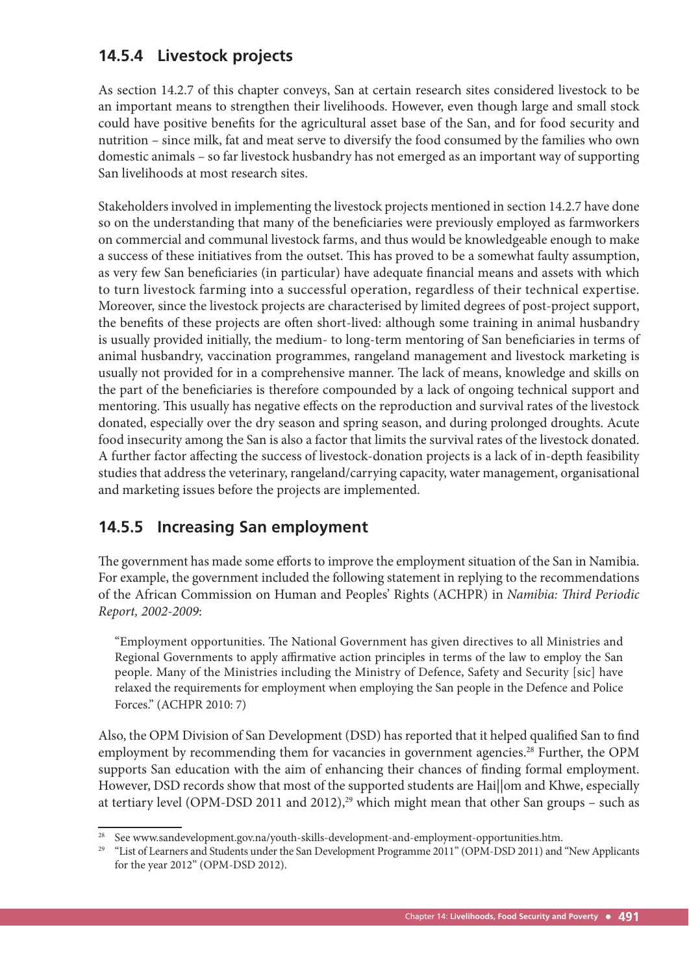## **14.5.4 Livestock projects**

As section 14.2.7 of this chapter conveys, San at certain research sites considered livestock to be an important means to strengthen their livelihoods. However, even though large and small stock could have positive benefits for the agricultural asset base of the San, and for food security and nutrition – since milk, fat and meat serve to diversify the food consumed by the families who own domestic animals – so far livestock husbandry has not emerged as an important way of supporting San livelihoods at most research sites.

Stakeholders involved in implementing the livestock projects mentioned in section 14.2.7 have done so on the understanding that many of the beneficiaries were previously employed as farmworkers on commercial and communal livestock farms, and thus would be knowledgeable enough to make a success of these initiatives from the outset. This has proved to be a somewhat faulty assumption, as very few San beneficiaries (in particular) have adequate financial means and assets with which to turn livestock farming into a successful operation, regardless of their technical expertise. Moreover, since the livestock projects are characterised by limited degrees of post-project support, the benefits of these projects are often short-lived: although some training in animal husbandry is usually provided initially, the medium- to long-term mentoring of San beneficiaries in terms of animal husbandry, vaccination programmes, rangeland management and livestock marketing is usually not provided for in a comprehensive manner. The lack of means, knowledge and skills on the part of the beneficiaries is therefore compounded by a lack of ongoing technical support and mentoring. This usually has negative effects on the reproduction and survival rates of the livestock donated, especially over the dry season and spring season, and during prolonged droughts. Acute food insecurity among the San is also a factor that limits the survival rates of the livestock donated. A further factor affecting the success of livestock-donation projects is a lack of in-depth feasibility studies that address the veterinary, rangeland/carrying capacity, water management, organisational and marketing issues before the projects are implemented.

## **14.5.5 Increasing San employment**

The government has made some efforts to improve the employment situation of the San in Namibia. For example, the government included the following statement in replying to the recommendations of the African Commission on Human and Peoples' Rights (ACHPR) in *Namibia: Third Periodic Report, 2002-2009*:

"Employment opportunities. The National Government has given directives to all Ministries and Regional Governments to apply affirmative action principles in terms of the law to employ the San people. Many of the Ministries including the Ministry of Defence, Safety and Security [sic] have relaxed the requirements for employment when employing the San people in the Defence and Police Forces." (ACHPR 2010: 7)

Also, the OPM Division of San Development (DSD) has reported that it helped qualified San to find employment by recommending them for vacancies in government agencies.<sup>28</sup> Further, the OPM supports San education with the aim of enhancing their chances of finding formal employment. However, DSD records show that most of the supported students are Hai||om and Khwe, especially at tertiary level (OPM-DSD 2011 and 2012),<sup>29</sup> which might mean that other San groups – such as

See www.sandevelopment.gov.na/youth-skills-development-and-employment-opportunities.htm.

<sup>&</sup>lt;sup>29</sup> "List of Learners and Students under the San Development Programme 2011" (OPM-DSD 2011) and "New Applicants for the year 2012" (OPM-DSD 2012).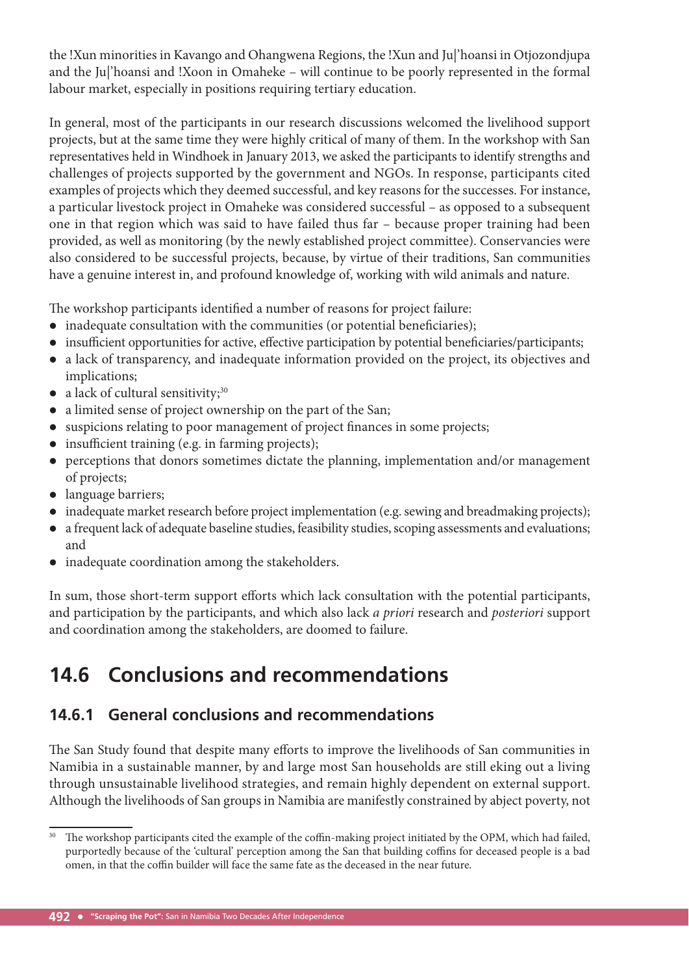the !Xun minorities in Kavango and Ohangwena Regions, the !Xun and Ju|'hoansi in Otjozondjupa and the Ju|'hoansi and !Xoon in Omaheke – will continue to be poorly represented in the formal labour market, especially in positions requiring tertiary education.

In general, most of the participants in our research discussions welcomed the livelihood support projects, but at the same time they were highly critical of many of them. In the workshop with San representatives held in Windhoek in January 2013, we asked the participants to identify strengths and challenges of projects supported by the government and NGOs. In response, participants cited examples of projects which they deemed successful, and key reasons for the successes. For instance, a particular livestock project in Omaheke was considered successful – as opposed to a subsequent one in that region which was said to have failed thus far – because proper training had been provided, as well as monitoring (by the newly established project committee). Conservancies were also considered to be successful projects, because, by virtue of their traditions, San communities have a genuine interest in, and profound knowledge of, working with wild animals and nature.

The workshop participants identified a number of reasons for project failure:

- $\bullet$  inadequate consultation with the communities (or potential beneficiaries);
- insufficient opportunities for active, effective participation by potential beneficiaries/participants;
- a lack of transparency, and inadequate information provided on the project, its objectives and implications;
- a lack of cultural sensitivity; $30$
- a limited sense of project ownership on the part of the San;
- suspicions relating to poor management of project finances in some projects;
- $\bullet$  insufficient training (e.g. in farming projects);
- perceptions that donors sometimes dictate the planning, implementation and/or management of projects;
- language barriers;
- inadequate market research before project implementation (e.g. sewing and breadmaking projects);
- a frequent lack of adequate baseline studies, feasibility studies, scoping assessments and evaluations; and
- inadequate coordination among the stakeholders.

In sum, those short-term support efforts which lack consultation with the potential participants, and participation by the participants, and which also lack *a priori* research and *posteriori* support and coordination among the stakeholders, are doomed to failure.

# **14.6 Conclusions and recommendations**

## **14.6.1 General conclusions and recommendations**

The San Study found that despite many efforts to improve the livelihoods of San communities in Namibia in a sustainable manner, by and large most San households are still eking out a living through unsustainable livelihood strategies, and remain highly dependent on external support. Although the livelihoods of San groups in Namibia are manifestly constrained by abject poverty, not

<sup>&</sup>lt;sup>30</sup> The workshop participants cited the example of the coffin-making project initiated by the OPM, which had failed, purportedly because of the 'cultural' perception among the San that building coffins for deceased people is a bad omen, in that the coffin builder will face the same fate as the deceased in the near future.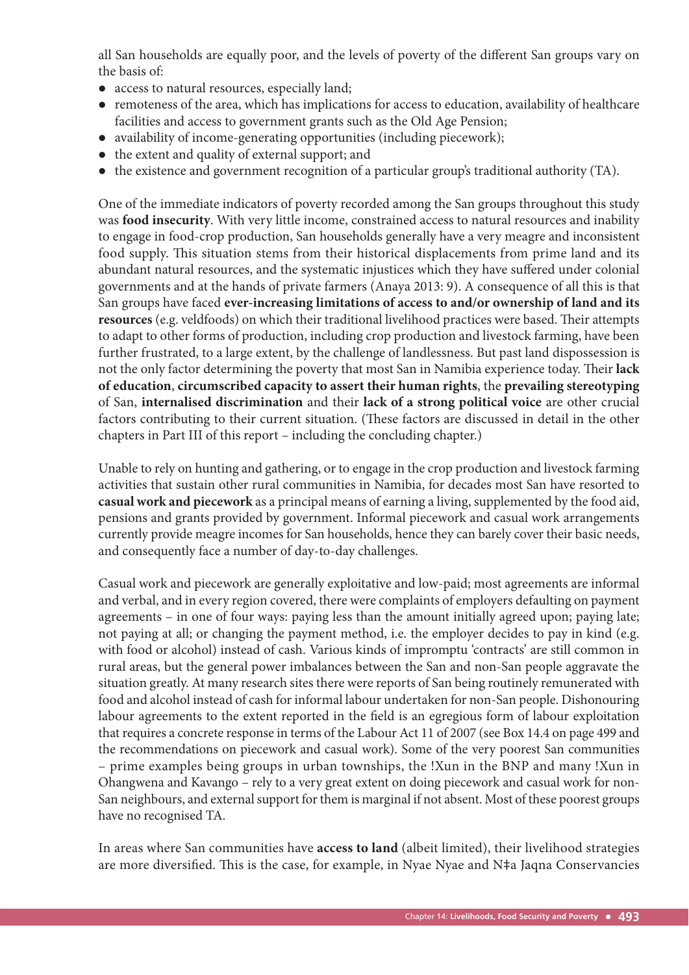all San households are equally poor, and the levels of poverty of the different San groups vary on the basis of:

- access to natural resources, especially land;
- remoteness of the area, which has implications for access to education, availability of healthcare facilities and access to government grants such as the Old Age Pension;
- availability of income-generating opportunities (including piecework);
- the extent and quality of external support; and
- the existence and government recognition of a particular group's traditional authority (TA).

One of the immediate indicators of poverty recorded among the San groups throughout this study was **food insecurity**. With very little income, constrained access to natural resources and inability to engage in food-crop production, San households generally have a very meagre and inconsistent food supply. This situation stems from their historical displacements from prime land and its abundant natural resources, and the systematic injustices which they have suffered under colonial governments and at the hands of private farmers (Anaya 2013: 9). A consequence of all this is that San groups have faced **ever-increasing limitations of access to and/or ownership of land and its**  resources (e.g. veldfoods) on which their traditional livelihood practices were based. Their attempts to adapt to other forms of production, including crop production and livestock farming, have been further frustrated, to a large extent, by the challenge of landlessness. But past land dispossession is not the only factor determining the poverty that most San in Namibia experience today. Their lack **of education**, **circumscribed capacity to assert their human rights**, the **prevailing stereotyping**  of San, **internalised discrimination** and their **lack of a strong political voice** are other crucial factors contributing to their current situation. (These factors are discussed in detail in the other chapters in Part III of this report – including the concluding chapter.)

Unable to rely on hunting and gathering, or to engage in the crop production and livestock farming activities that sustain other rural communities in Namibia, for decades most San have resorted to **casual work and piecework** as a principal means of earning a living, supplemented by the food aid, pensions and grants provided by government. Informal piecework and casual work arrangements currently provide meagre incomes for San households, hence they can barely cover their basic needs, and consequently face a number of day-to-day challenges.

Casual work and piecework are generally exploitative and low-paid; most agreements are informal and verbal, and in every region covered, there were complaints of employers defaulting on payment agreements – in one of four ways: paying less than the amount initially agreed upon; paying late; not paying at all; or changing the payment method, i.e. the employer decides to pay in kind (e.g. with food or alcohol) instead of cash. Various kinds of impromptu 'contracts' are still common in rural areas, but the general power imbalances between the San and non-San people aggravate the situation greatly. At many research sites there were reports of San being routinely remunerated with food and alcohol instead of cash for informal labour undertaken for non-San people. Dishonouring labour agreements to the extent reported in the field is an egregious form of labour exploitation that requires a concrete response in terms of the Labour Act 11 of 2007 (see Box 14.4 on page 499 and the recommendations on piecework and casual work). Some of the very poorest San communities – prime examples being groups in urban townships, the !Xun in the BNP and many !Xun in Ohangwena and Kavango – rely to a very great extent on doing piecework and casual work for non-San neighbours, and external support for them is marginal if not absent. Most of these poorest groups have no recognised TA.

In areas where San communities have **access to land** (albeit limited), their livelihood strategies are more diversified. This is the case, for example, in Nyae Nyae and N‡a Jaqna Conservancies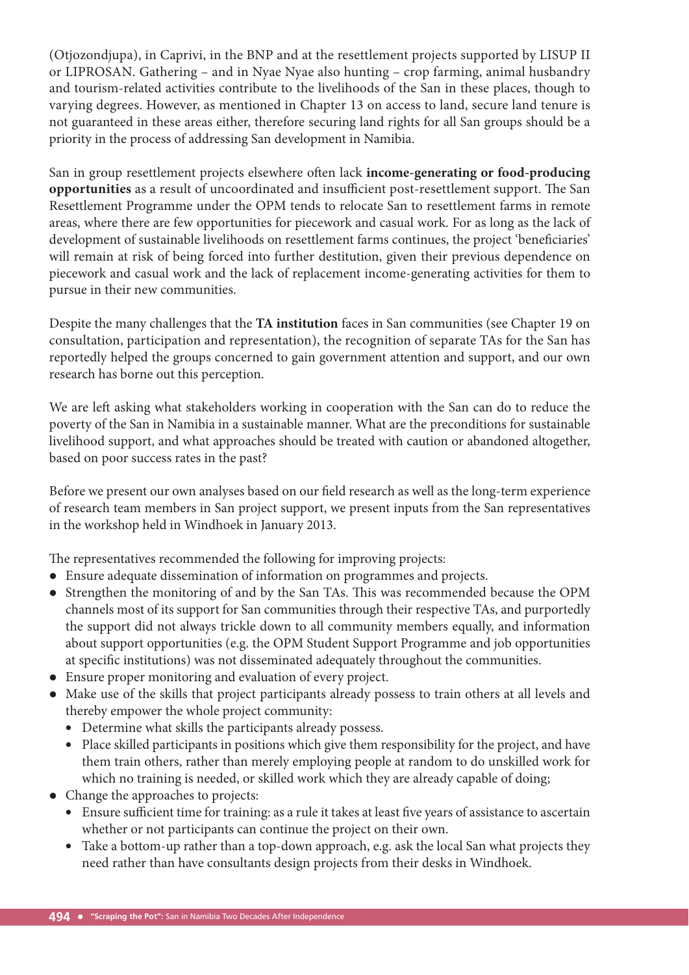(Otjozondjupa), in Caprivi, in the BNP and at the resettlement projects supported by LISUP II or LIPROSAN. Gathering – and in Nyae Nyae also hunting – crop farming, animal husbandry and tourism-related activities contribute to the livelihoods of the San in these places, though to varying degrees. However, as mentioned in Chapter 13 on access to land, secure land tenure is not guaranteed in these areas either, therefore securing land rights for all San groups should be a priority in the process of addressing San development in Namibia.

San in group resettlement projects elsewhere often lack *income-generating or food-producing* **opportunities** as a result of uncoordinated and insufficient post-resettlement support. The San Resettlement Programme under the OPM tends to relocate San to resettlement farms in remote areas, where there are few opportunities for piecework and casual work. For as long as the lack of development of sustainable livelihoods on resettlement farms continues, the project 'beneficiaries' will remain at risk of being forced into further destitution, given their previous dependence on piecework and casual work and the lack of replacement income-generating activities for them to pursue in their new communities.

Despite the many challenges that the **TA institution** faces in San communities (see Chapter 19 on consultation, participation and representation), the recognition of separate TAs for the San has reportedly helped the groups concerned to gain government attention and support, and our own research has borne out this perception.

We are left asking what stakeholders working in cooperation with the San can do to reduce the poverty of the San in Namibia in a sustainable manner. What are the preconditions for sustainable livelihood support, and what approaches should be treated with caution or abandoned altogether, based on poor success rates in the past?

Before we present our own analyses based on our field research as well as the long-term experience of research team members in San project support, we present inputs from the San representatives in the workshop held in Windhoek in January 2013.

The representatives recommended the following for improving projects:

- Ensure adequate dissemination of information on programmes and projects.
- Strengthen the monitoring of and by the San TAs. This was recommended because the OPM channels most of its support for San communities through their respective TAs, and purportedly the support did not always trickle down to all community members equally, and information about support opportunities (e.g. the OPM Student Support Programme and job opportunities at specific institutions) was not disseminated adequately throughout the communities.
- Ensure proper monitoring and evaluation of every project.
- Make use of the skills that project participants already possess to train others at all levels and thereby empower the whole project community:
	- Determine what skills the participants already possess.
	- Place skilled participants in positions which give them responsibility for the project, and have them train others, rather than merely employing people at random to do unskilled work for which no training is needed, or skilled work which they are already capable of doing;
- Change the approaches to projects:
	- Ensure sufficient time for training: as a rule it takes at least five years of assistance to ascertain whether or not participants can continue the project on their own.
	- Take a bottom-up rather than a top-down approach, e.g. ask the local San what projects they need rather than have consultants design projects from their desks in Windhoek.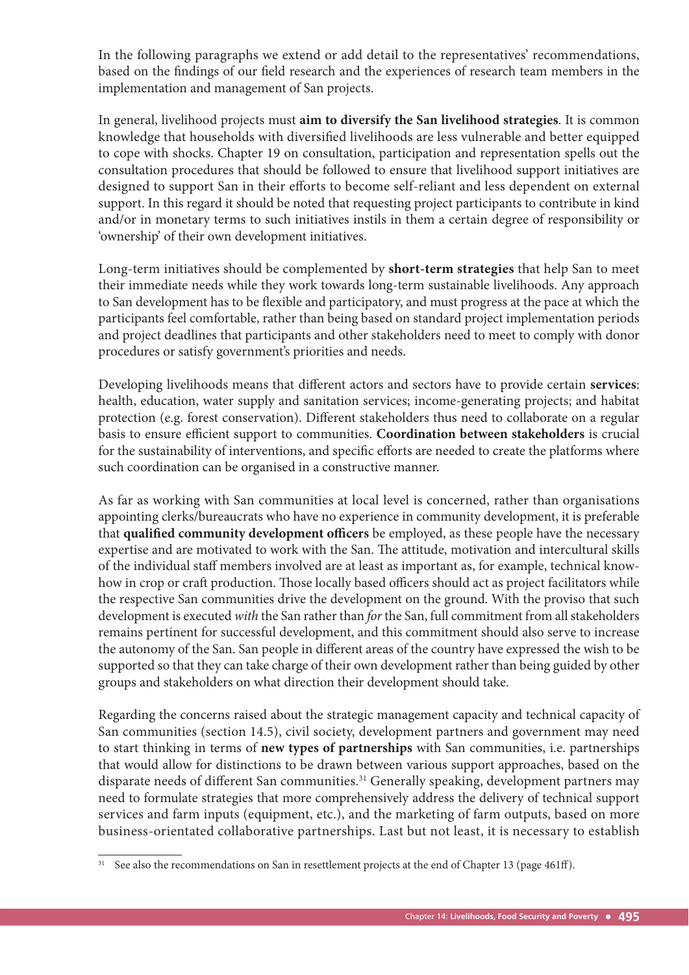In the following paragraphs we extend or add detail to the representatives' recommendations, based on the findings of our field research and the experiences of research team members in the implementation and management of San projects.

In general, livelihood projects must **aim to diversify the San livelihood strategies**. It is common knowledge that households with diversified livelihoods are less vulnerable and better equipped to cope with shocks. Chapter 19 on consultation, participation and representation spells out the consultation procedures that should be followed to ensure that livelihood support initiatives are designed to support San in their efforts to become self-reliant and less dependent on external support. In this regard it should be noted that requesting project participants to contribute in kind and/or in monetary terms to such initiatives instils in them a certain degree of responsibility or 'ownership' of their own development initiatives.

Long-term initiatives should be complemented by **short-term strategies** that help San to meet their immediate needs while they work towards long-term sustainable livelihoods. Any approach to San development has to be flexible and participatory, and must progress at the pace at which the participants feel comfortable, rather than being based on standard project implementation periods and project deadlines that participants and other stakeholders need to meet to comply with donor procedures or satisfy government's priorities and needs.

Developing livelihoods means that different actors and sectors have to provide certain services: health, education, water supply and sanitation services; income-generating projects; and habitat protection (e.g. forest conservation). Different stakeholders thus need to collaborate on a regular basis to ensure efficient support to communities. Coordination between stakeholders is crucial for the sustainability of interventions, and specific efforts are needed to create the platforms where such coordination can be organised in a constructive manner.

As far as working with San communities at local level is concerned, rather than organisations appointing clerks/bureaucrats who have no experience in community development, it is preferable that **qualified community development officers** be employed, as these people have the necessary expertise and are motivated to work with the San. The attitude, motivation and intercultural skills of the individual staff members involved are at least as important as, for example, technical knowhow in crop or craft production. Those locally based officers should act as project facilitators while the respective San communities drive the development on the ground. With the proviso that such development is executed *with* the San rather than *for* the San, full commitment from all stakeholders remains pertinent for successful development, and this commitment should also serve to increase the autonomy of the San. San people in different areas of the country have expressed the wish to be supported so that they can take charge of their own development rather than being guided by other groups and stakeholders on what direction their development should take.

Regarding the concerns raised about the strategic management capacity and technical capacity of San communities (section 14.5), civil society, development partners and government may need to start thinking in terms of **new types of partnerships** with San communities, i.e. partnerships that would allow for distinctions to be drawn between various support approaches, based on the disparate needs of different San communities.<sup>31</sup> Generally speaking, development partners may need to formulate strategies that more comprehensively address the delivery of technical support services and farm inputs (equipment, etc.), and the marketing of farm outputs, based on more business-orientated collaborative partnerships. Last but not least, it is necessary to establish

 $31$  See also the recommendations on San in resettlement projects at the end of Chapter 13 (page 461ff).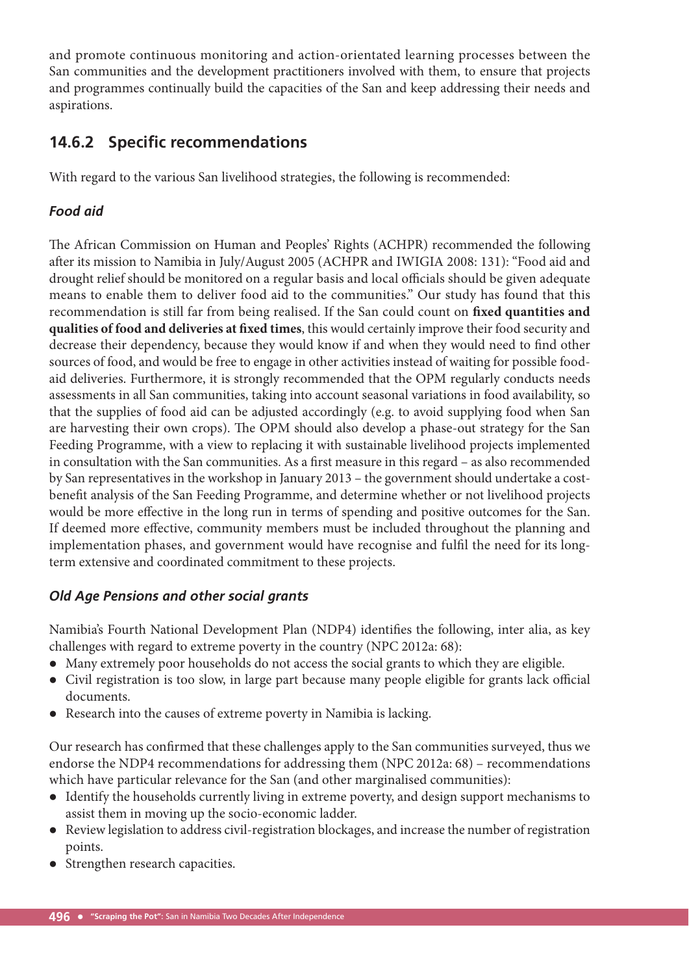and promote continuous monitoring and action-orientated learning processes between the San communities and the development practitioners involved with them, to ensure that projects and programmes continually build the capacities of the San and keep addressing their needs and aspirations.

## **14.6.2 Specific recommendations**

With regard to the various San livelihood strategies, the following is recommended:

### *Food aid*

The African Commission on Human and Peoples' Rights (ACHPR) recommended the following after its mission to Namibia in July/August 2005 (ACHPR and IWIGIA 2008: 131): "Food aid and drought relief should be monitored on a regular basis and local officials should be given adequate means to enable them to deliver food aid to the communities." Our study has found that this recommendation is still far from being realised. If the San could count on fixed quantities and qualities of food and deliveries at fixed times, this would certainly improve their food security and decrease their dependency, because they would know if and when they would need to find other sources of food, and would be free to engage in other activities instead of waiting for possible foodaid deliveries. Furthermore, it is strongly recommended that the OPM regularly conducts needs assessments in all San communities, taking into account seasonal variations in food availability, so that the supplies of food aid can be adjusted accordingly (e.g. to avoid supplying food when San are harvesting their own crops). The OPM should also develop a phase-out strategy for the San Feeding Programme, with a view to replacing it with sustainable livelihood projects implemented in consultation with the San communities. As a first measure in this regard – as also recommended by San representatives in the workshop in January 2013 – the government should undertake a costbenefit analysis of the San Feeding Programme, and determine whether or not livelihood projects would be more effective in the long run in terms of spending and positive outcomes for the San. If deemed more effective, community members must be included throughout the planning and implementation phases, and government would have recognise and fulfil the need for its longterm extensive and coordinated commitment to these projects.

#### *Old Age Pensions and other social grants*

Namibia's Fourth National Development Plan (NDP4) identifies the following, inter alia, as key challenges with regard to extreme poverty in the country (NPC 2012a: 68):

- Many extremely poor households do not access the social grants to which they are eligible.
- Civil registration is too slow, in large part because many people eligible for grants lack official documents.
- Research into the causes of extreme poverty in Namibia is lacking.

Our research has confirmed that these challenges apply to the San communities surveyed, thus we endorse the NDP4 recommendations for addressing them (NPC 2012a: 68) – recommendations which have particular relevance for the San (and other marginalised communities):

- Identify the households currently living in extreme poverty, and design support mechanisms to assist them in moving up the socio-economic ladder.
- Review legislation to address civil-registration blockages, and increase the number of registration points.
- Strengthen research capacities.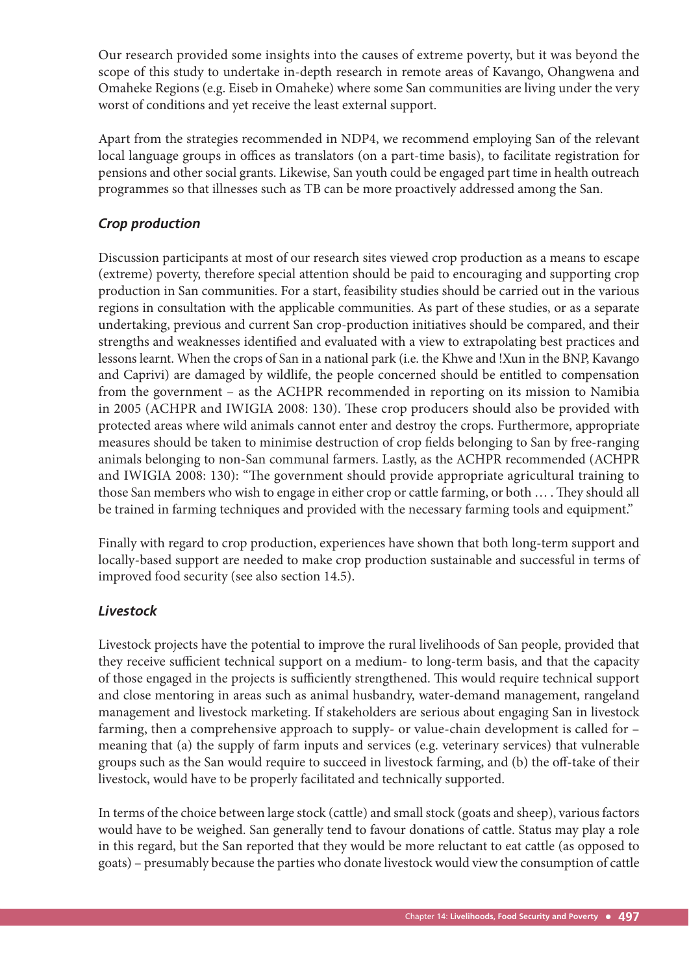Our research provided some insights into the causes of extreme poverty, but it was beyond the scope of this study to undertake in-depth research in remote areas of Kavango, Ohangwena and Omaheke Regions (e.g. Eiseb in Omaheke) where some San communities are living under the very worst of conditions and yet receive the least external support.

Apart from the strategies recommended in NDP4, we recommend employing San of the relevant local language groups in offices as translators (on a part-time basis), to facilitate registration for pensions and other social grants. Likewise, San youth could be engaged part time in health outreach programmes so that illnesses such as TB can be more proactively addressed among the San.

#### *Crop production*

Discussion participants at most of our research sites viewed crop production as a means to escape (extreme) poverty, therefore special attention should be paid to encouraging and supporting crop production in San communities. For a start, feasibility studies should be carried out in the various regions in consultation with the applicable communities. As part of these studies, or as a separate undertaking, previous and current San crop-production initiatives should be compared, and their strengths and weaknesses identified and evaluated with a view to extrapolating best practices and lessons learnt. When the crops of San in a national park (i.e. the Khwe and !Xun in the BNP, Kavango and Caprivi) are damaged by wildlife, the people concerned should be entitled to compensation from the government – as the ACHPR recommended in reporting on its mission to Namibia in 2005 (ACHPR and IWIGIA 2008: 130). These crop producers should also be provided with protected areas where wild animals cannot enter and destroy the crops. Furthermore, appropriate measures should be taken to minimise destruction of crop fields belonging to San by free-ranging animals belonging to non-San communal farmers. Lastly, as the ACHPR recommended (ACHPR and IWIGIA 2008: 130): "The government should provide appropriate agricultural training to those San members who wish to engage in either crop or cattle farming, or both ... . They should all be trained in farming techniques and provided with the necessary farming tools and equipment."

Finally with regard to crop production, experiences have shown that both long-term support and locally-based support are needed to make crop production sustainable and successful in terms of improved food security (see also section 14.5).

#### *Livestock*

Livestock projects have the potential to improve the rural livelihoods of San people, provided that they receive sufficient technical support on a medium- to long-term basis, and that the capacity of those engaged in the projects is sufficiently strengthened. This would require technical support and close mentoring in areas such as animal husbandry, water-demand management, rangeland management and livestock marketing. If stakeholders are serious about engaging San in livestock farming, then a comprehensive approach to supply- or value-chain development is called for – meaning that (a) the supply of farm inputs and services (e.g. veterinary services) that vulnerable groups such as the San would require to succeed in livestock farming, and (b) the off -take of their livestock, would have to be properly facilitated and technically supported.

In terms of the choice between large stock (cattle) and small stock (goats and sheep), various factors would have to be weighed. San generally tend to favour donations of cattle. Status may play a role in this regard, but the San reported that they would be more reluctant to eat cattle (as opposed to goats) – presumably because the parties who donate livestock would view the consumption of cattle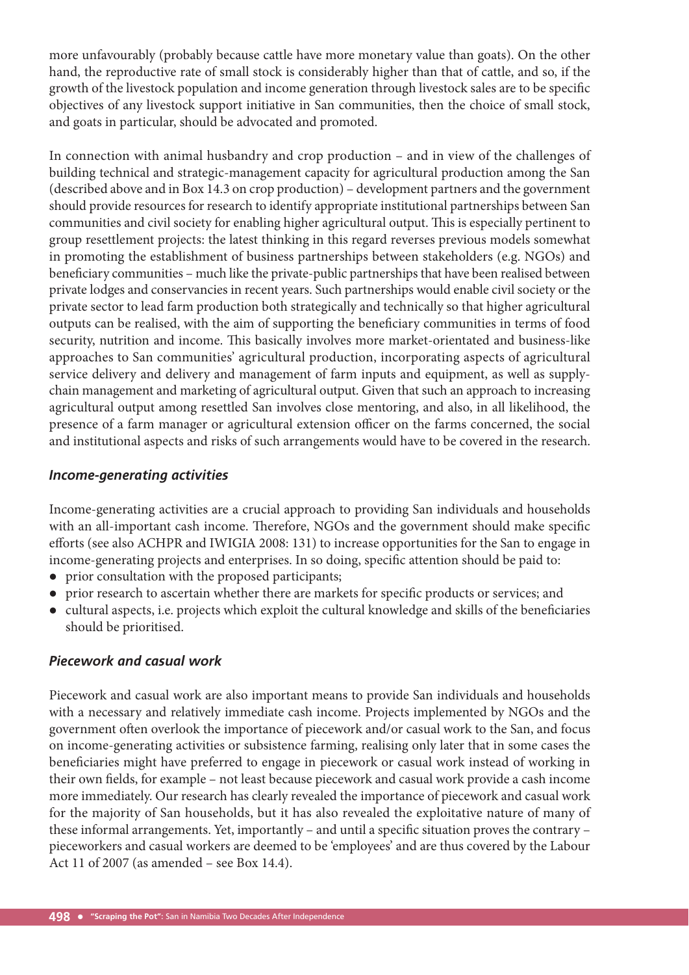more unfavourably (probably because cattle have more monetary value than goats). On the other hand, the reproductive rate of small stock is considerably higher than that of cattle, and so, if the growth of the livestock population and income generation through livestock sales are to be specific objectives of any livestock support initiative in San communities, then the choice of small stock, and goats in particular, should be advocated and promoted.

In connection with animal husbandry and crop production – and in view of the challenges of building technical and strategic-management capacity for agricultural production among the San (described above and in Box 14.3 on crop production) – development partners and the government should provide resources for research to identify appropriate institutional partnerships between San communities and civil society for enabling higher agricultural output. This is especially pertinent to group resettlement projects: the latest thinking in this regard reverses previous models somewhat in promoting the establishment of business partnerships between stakeholders (e.g. NGOs) and beneficiary communities – much like the private-public partnerships that have been realised between private lodges and conservancies in recent years. Such partnerships would enable civil society or the private sector to lead farm production both strategically and technically so that higher agricultural outputs can be realised, with the aim of supporting the beneficiary communities in terms of food security, nutrition and income. This basically involves more market-orientated and business-like approaches to San communities' agricultural production, incorporating aspects of agricultural service delivery and delivery and management of farm inputs and equipment, as well as supplychain management and marketing of agricultural output. Given that such an approach to increasing agricultural output among resettled San involves close mentoring, and also, in all likelihood, the presence of a farm manager or agricultural extension officer on the farms concerned, the social and institutional aspects and risks of such arrangements would have to be covered in the research.

#### *Income-generating activities*

Income-generating activities are a crucial approach to providing San individuals and households with an all-important cash income. Therefore, NGOs and the government should make specific efforts (see also ACHPR and IWIGIA 2008: 131) to increase opportunities for the San to engage in income-generating projects and enterprises. In so doing, specific attention should be paid to:

- prior consultation with the proposed participants;
- prior research to ascertain whether there are markets for specific products or services; and
- cultural aspects, i.e. projects which exploit the cultural knowledge and skills of the beneficiaries should be prioritised.

#### *Piecework and casual work*

Piecework and casual work are also important means to provide San individuals and households with a necessary and relatively immediate cash income. Projects implemented by NGOs and the government often overlook the importance of piecework and/or casual work to the San, and focus on income-generating activities or subsistence farming, realising only later that in some cases the beneficiaries might have preferred to engage in piecework or casual work instead of working in their own fields, for example – not least because piecework and casual work provide a cash income more immediately. Our research has clearly revealed the importance of piecework and casual work for the majority of San households, but it has also revealed the exploitative nature of many of these informal arrangements. Yet, importantly – and until a specific situation proves the contrary – pieceworkers and casual workers are deemed to be 'employees' and are thus covered by the Labour Act 11 of 2007 (as amended – see Box 14.4).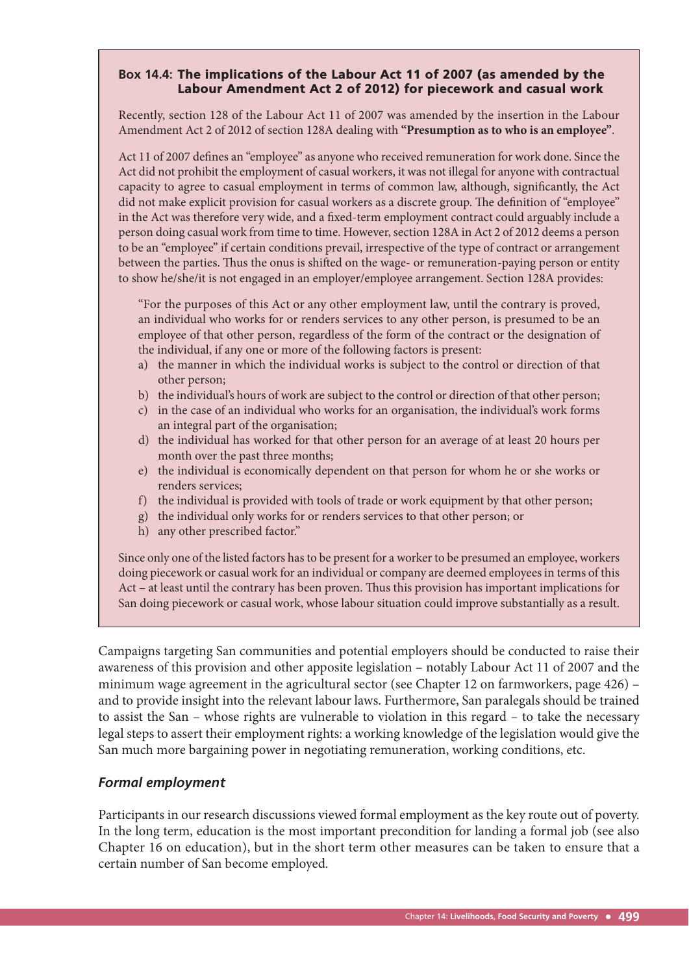#### **Box 14.4:** The implications of the Labour Act 11 of 2007 (as amended by the Labour Amendment Act 2 of 2012) for piecework and casual work

Recently, section 128 of the Labour Act 11 of 2007 was amended by the insertion in the Labour Amendment Act 2 of 2012 of section 128A dealing with **"Presumption as to who is an employee"**.

Act 11 of 2007 defines an "employee" as anyone who received remuneration for work done. Since the Act did not prohibit the employment of casual workers, it was not illegal for anyone with contractual capacity to agree to casual employment in terms of common law, although, significantly, the Act did not make explicit provision for casual workers as a discrete group. The definition of "employee" in the Act was therefore very wide, and a fixed-term employment contract could arguably include a person doing casual work from time to time. However, section 128A in Act 2 of 2012 deems a person to be an "employee" if certain conditions prevail, irrespective of the type of contract or arrangement between the parties. Thus the onus is shifted on the wage- or remuneration-paying person or entity to show he/she/it is not engaged in an employer/employee arrangement. Section 128A provides:

"For the purposes of this Act or any other employment law, until the contrary is proved, an individual who works for or renders services to any other person, is presumed to be an employee of that other person, regardless of the form of the contract or the designation of the individual, if any one or more of the following factors is present:

- a) the manner in which the individual works is subject to the control or direction of that other person;
- b) the individual's hours of work are subject to the control or direction of that other person;
- c) in the case of an individual who works for an organisation, the individual's work forms an integral part of the organisation;
- d) the individual has worked for that other person for an average of at least 20 hours per month over the past three months;
- e) the individual is economically dependent on that person for whom he or she works or renders services;
- f) the individual is provided with tools of trade or work equipment by that other person;
- g) the individual only works for or renders services to that other person; or
- h) any other prescribed factor."

Since only one of the listed factors has to be present for a worker to be presumed an employee, workers doing piecework or casual work for an individual or company are deemed employees in terms of this Act – at least until the contrary has been proven. Thus this provision has important implications for San doing piecework or casual work, whose labour situation could improve substantially as a result.

Campaigns targeting San communities and potential employers should be conducted to raise their awareness of this provision and other apposite legislation – notably Labour Act 11 of 2007 and the minimum wage agreement in the agricultural sector (see Chapter 12 on farmworkers, page 426) – and to provide insight into the relevant labour laws. Furthermore, San paralegals should be trained to assist the San – whose rights are vulnerable to violation in this regard – to take the necessary legal steps to assert their employment rights: a working knowledge of the legislation would give the San much more bargaining power in negotiating remuneration, working conditions, etc.

#### *Formal employment*

Participants in our research discussions viewed formal employment as the key route out of poverty. In the long term, education is the most important precondition for landing a formal job (see also Chapter 16 on education), but in the short term other measures can be taken to ensure that a certain number of San become employed.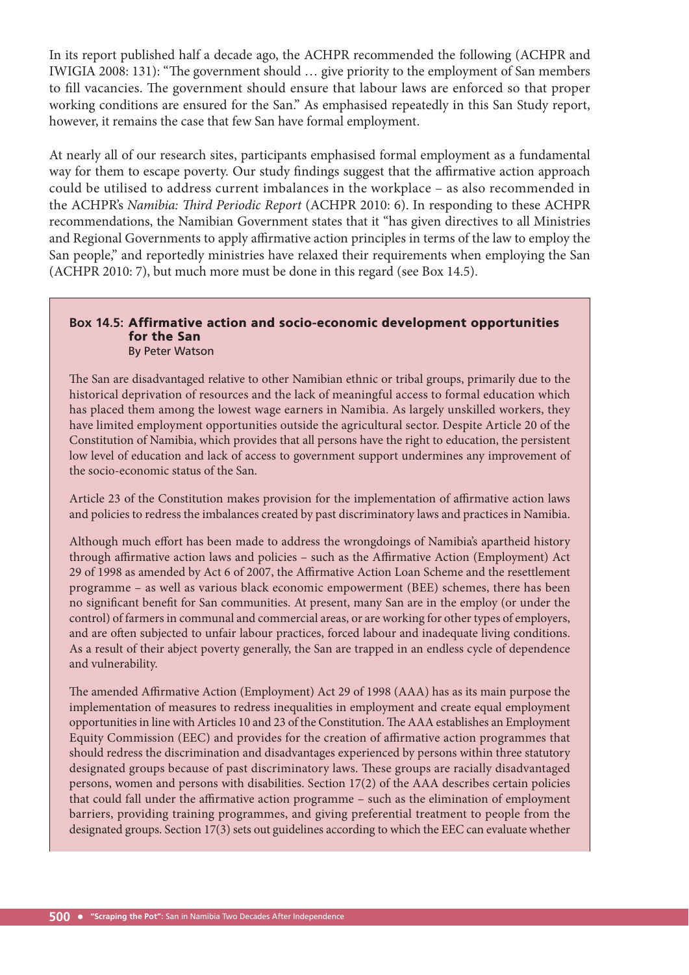In its report published half a decade ago, the ACHPR recommended the following (ACHPR and IWIGIA 2008: 131): "The government should ... give priority to the employment of San members to fill vacancies. The government should ensure that labour laws are enforced so that proper working conditions are ensured for the San." As emphasised repeatedly in this San Study report, however, it remains the case that few San have formal employment.

At nearly all of our research sites, participants emphasised formal employment as a fundamental way for them to escape poverty. Our study findings suggest that the affirmative action approach could be utilised to address current imbalances in the workplace – as also recommended in the ACHPR's *Namibia: Third Periodic Report* (ACHPR 2010: 6). In responding to these ACHPR recommendations, the Namibian Government states that it "has given directives to all Ministries and Regional Governments to apply affirmative action principles in terms of the law to employ the San people," and reportedly ministries have relaxed their requirements when employing the San (ACHPR 2010: 7), but much more must be done in this regard (see Box 14.5).

#### **Box 14.5:** Affirmative action and socio-economic development opportunities for the San By Peter Watson

The San are disadvantaged relative to other Namibian ethnic or tribal groups, primarily due to the historical deprivation of resources and the lack of meaningful access to formal education which has placed them among the lowest wage earners in Namibia. As largely unskilled workers, they have limited employment opportunities outside the agricultural sector. Despite Article 20 of the Constitution of Namibia, which provides that all persons have the right to education, the persistent low level of education and lack of access to government support undermines any improvement of the socio-economic status of the San.

Article 23 of the Constitution makes provision for the implementation of affirmative action laws and policies to redress the imbalances created by past discriminatory laws and practices in Namibia.

Although much effort has been made to address the wrongdoings of Namibia's apartheid history through affirmative action laws and policies - such as the Affirmative Action (Employment) Act 29 of 1998 as amended by Act 6 of 2007, the Affirmative Action Loan Scheme and the resettlement programme – as well as various black economic empowerment (BEE) schemes, there has been no significant benefit for San communities. At present, many San are in the employ (or under the control) of farmers in communal and commercial areas, or are working for other types of employers, and are often subjected to unfair labour practices, forced labour and inadequate living conditions. As a result of their abject poverty generally, the San are trapped in an endless cycle of dependence and vulnerability.

The amended Affirmative Action (Employment) Act 29 of 1998 (AAA) has as its main purpose the implementation of measures to redress inequalities in employment and create equal employment opportunities in line with Articles 10 and 23 of the Constitution. The AAA establishes an Employment Equity Commission (EEC) and provides for the creation of affirmative action programmes that should redress the discrimination and disadvantages experienced by persons within three statutory designated groups because of past discriminatory laws. These groups are racially disadvantaged persons, women and persons with disabilities. Section 17(2) of the AAA describes certain policies that could fall under the affirmative action programme - such as the elimination of employment barriers, providing training programmes, and giving preferential treatment to people from the designated groups. Section 17(3) sets out guidelines according to which the EEC can evaluate whether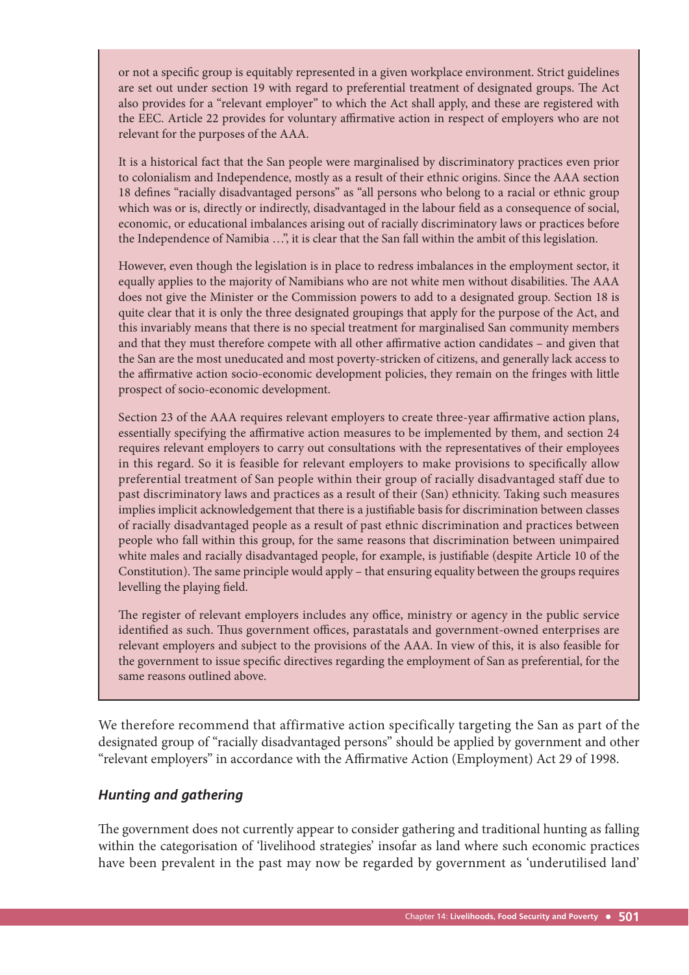or not a specific group is equitably represented in a given workplace environment. Strict guidelines are set out under section 19 with regard to preferential treatment of designated groups. The Act also provides for a "relevant employer" to which the Act shall apply, and these are registered with the EEC. Article 22 provides for voluntary affirmative action in respect of employers who are not relevant for the purposes of the AAA.

It is a historical fact that the San people were marginalised by discriminatory practices even prior to colonialism and Independence, mostly as a result of their ethnic origins. Since the AAA section 18 defines "racially disadvantaged persons" as "all persons who belong to a racial or ethnic group which was or is, directly or indirectly, disadvantaged in the labour field as a consequence of social, economic, or educational imbalances arising out of racially discriminatory laws or practices before the Independence of Namibia …", it is clear that the San fall within the ambit of this legislation.

However, even though the legislation is in place to redress imbalances in the employment sector, it equally applies to the majority of Namibians who are not white men without disabilities. The AAA does not give the Minister or the Commission powers to add to a designated group. Section 18 is quite clear that it is only the three designated groupings that apply for the purpose of the Act, and this invariably means that there is no special treatment for marginalised San community members and that they must therefore compete with all other affirmative action candidates – and given that the San are the most uneducated and most poverty-stricken of citizens, and generally lack access to the affirmative action socio-economic development policies, they remain on the fringes with little prospect of socio-economic development.

Section 23 of the AAA requires relevant employers to create three-year affirmative action plans, essentially specifying the affirmative action measures to be implemented by them, and section 24 requires relevant employers to carry out consultations with the representatives of their employees in this regard. So it is feasible for relevant employers to make provisions to specifically allow preferential treatment of San people within their group of racially disadvantaged staff due to past discriminatory laws and practices as a result of their (San) ethnicity. Taking such measures implies implicit acknowledgement that there is a justifiable basis for discrimination between classes of racially disadvantaged people as a result of past ethnic discrimination and practices between people who fall within this group, for the same reasons that discrimination between unimpaired white males and racially disadvantaged people, for example, is justifiable (despite Article 10 of the Constitution). The same principle would apply – that ensuring equality between the groups requires levelling the playing field.

The register of relevant employers includes any office, ministry or agency in the public service identified as such. Thus government offices, parastatals and government-owned enterprises are relevant employers and subject to the provisions of the AAA. In view of this, it is also feasible for the government to issue specific directives regarding the employment of San as preferential, for the same reasons outlined above.

We therefore recommend that affirmative action specifically targeting the San as part of the designated group of "racially disadvantaged persons" should be applied by government and other "relevant employers" in accordance with the Affirmative Action (Employment) Act 29 of 1998.

#### *Hunting and gathering*

The government does not currently appear to consider gathering and traditional hunting as falling within the categorisation of 'livelihood strategies' insofar as land where such economic practices have been prevalent in the past may now be regarded by government as 'underutilised land'